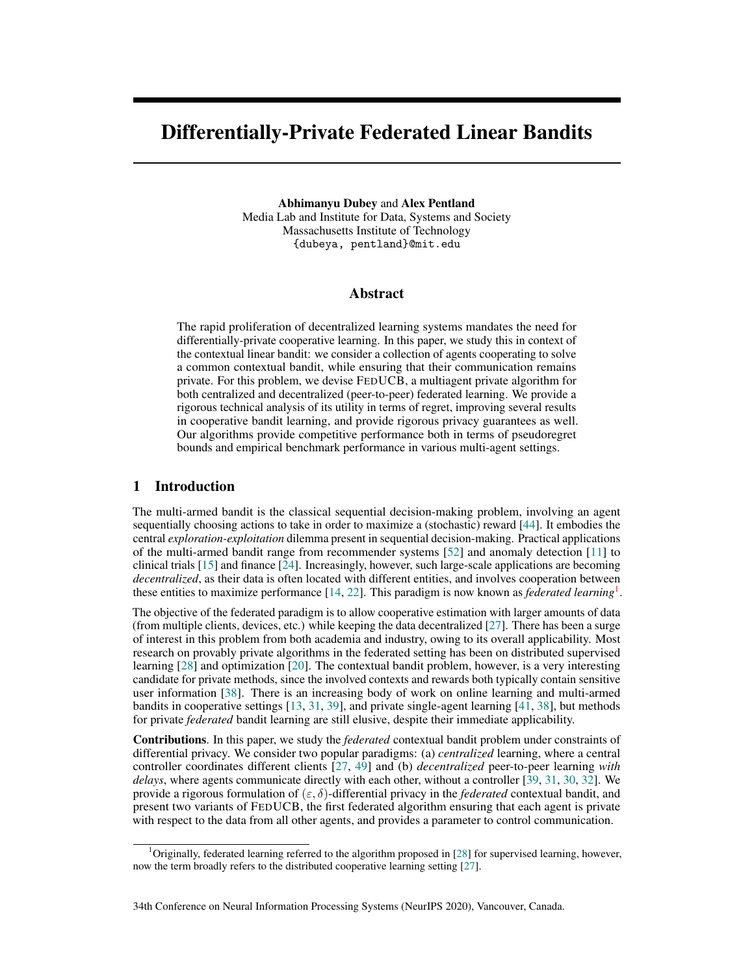# Differentially-Private Federated Linear Bandits

Abhimanyu Dubey and Alex Pentland Media Lab and Institute for Data, Systems and Society Massachusetts Institute of Technology {dubeya, pentland}@mit.edu

## Abstract

The rapid proliferation of decentralized learning systems mandates the need for differentially-private cooperative learning. In this paper, we study this in context of the contextual linear bandit: we consider a collection of agents cooperating to solve a common contextual bandit, while ensuring that their communication remains private. For this problem, we devise FEDUCB, a multiagent private algorithm for both centralized and decentralized (peer-to-peer) federated learning. We provide a rigorous technical analysis of its utility in terms of regret, improving several results in cooperative bandit learning, and provide rigorous privacy guarantees as well. Our algorithms provide competitive performance both in terms of pseudoregret bounds and empirical benchmark performance in various multi-agent settings.

# 1 Introduction

The multi-armed bandit is the classical sequential decision-making problem, involving an agent sequentially choosing actions to take in order to maximize a (stochastic) reward [\[44\]](#page-21-0). It embodies the central *exploration-exploitation* dilemma present in sequential decision-making. Practical applications of the multi-armed bandit range from recommender systems [\[52\]](#page-21-1) and anomaly detection [\[11\]](#page-19-0) to clinical trials [\[15\]](#page-19-1) and finance [\[24\]](#page-20-0). Increasingly, however, such large-scale applications are becoming *decentralized*, as their data is often located with different entities, and involves cooperation between these entities to maximize performance [\[14,](#page-19-2) [22\]](#page-20-1). This paradigm is now known as *federated learning*[1](#page-0-0) .

The objective of the federated paradigm is to allow cooperative estimation with larger amounts of data (from multiple clients, devices, etc.) while keeping the data decentralized [\[27\]](#page-20-2). There has been a surge of interest in this problem from both academia and industry, owing to its overall applicability. Most research on provably private algorithms in the federated setting has been on distributed supervised learning [\[28\]](#page-20-3) and optimization [\[20\]](#page-19-3). The contextual bandit problem, however, is a very interesting candidate for private methods, since the involved contexts and rewards both typically contain sensitive user information [\[38\]](#page-20-4). There is an increasing body of work on online learning and multi-armed bandits in cooperative settings [\[13,](#page-19-4) [31,](#page-20-5) [39\]](#page-20-6), and private single-agent learning [\[41,](#page-20-7) [38\]](#page-20-4), but methods for private *federated* bandit learning are still elusive, despite their immediate applicability.

Contributions. In this paper, we study the *federated* contextual bandit problem under constraints of differential privacy. We consider two popular paradigms: (a) *centralized* learning, where a central controller coordinates different clients [\[27,](#page-20-2) [49\]](#page-21-2) and (b) *decentralized* peer-to-peer learning *with delays*, where agents communicate directly with each other, without a controller [\[39,](#page-20-6) [31,](#page-20-5) [30,](#page-20-8) [32\]](#page-20-9). We provide a rigorous formulation of  $(\varepsilon, \delta)$ -differential privacy in the *federated* contextual bandit, and present two variants of FEDUCB, the first federated algorithm ensuring that each agent is private with respect to the data from all other agents, and provides a parameter to control communication.

<span id="page-0-0"></span> $1$ Originally, federated learning referred to the algorithm proposed in [\[28\]](#page-20-3) for supervised learning, however, now the term broadly refers to the distributed cooperative learning setting [\[27\]](#page-20-2).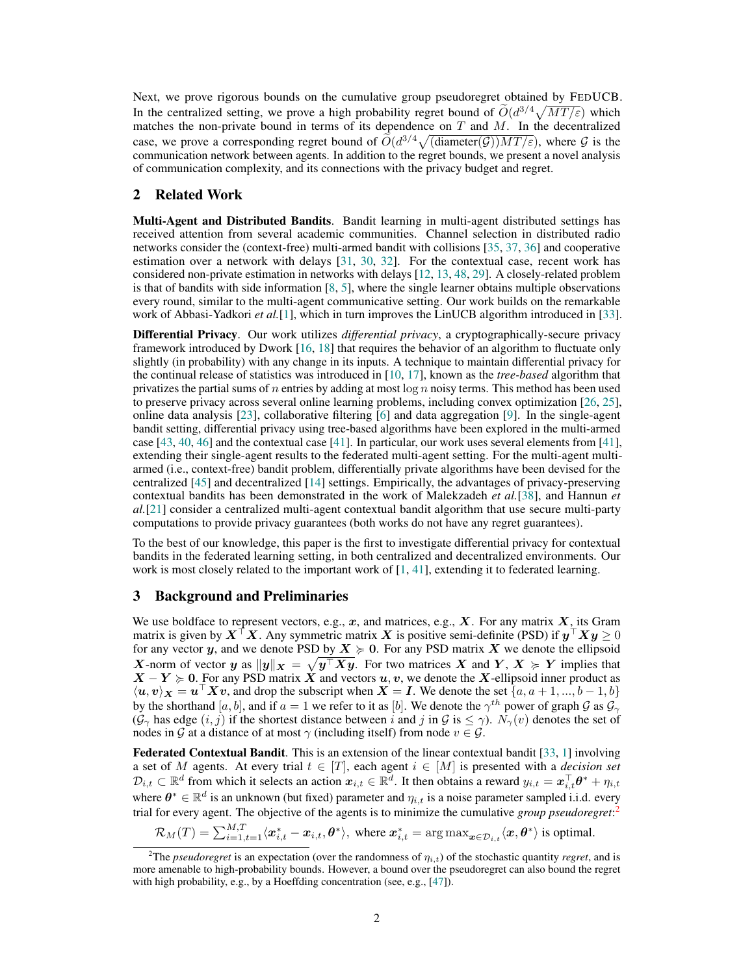Next, we prove rigorous bounds on the cumulative group pseudoregret obtained by FEDUCB. In the centralized setting, we prove a high probability regret bound of  $\tilde{O}(d^{3/4}\sqrt{MT/\varepsilon})$  which matches the non-private bound in terms of its dependence on  $T$  and  $M$ . In the decentralized case, we prove a corresponding regret bound of  $\tilde{O}(d^{3/4}\sqrt{\text{(diameter(G))MT/\varepsilon}})$ , where G is the communication network between agents. In addition to the regret bounds, we present a novel analysis of communication complexity, and its connections with the privacy budget and regret.

# 2 Related Work

Multi-Agent and Distributed Bandits. Bandit learning in multi-agent distributed settings has received attention from several academic communities. Channel selection in distributed radio networks consider the (context-free) multi-armed bandit with collisions [\[35,](#page-20-10) [37,](#page-20-11) [36\]](#page-20-12) and cooperative estimation over a network with delays [\[31,](#page-20-5) [30,](#page-20-8) [32\]](#page-20-9). For the contextual case, recent work has considered non-private estimation in networks with delays [\[12,](#page-19-5) [13,](#page-19-4) [48,](#page-21-3) [29\]](#page-20-13). A closely-related problem is that of bandits with side information  $[8, 5]$  $[8, 5]$  $[8, 5]$ , where the single learner obtains multiple observations every round, similar to the multi-agent communicative setting. Our work builds on the remarkable work of Abbasi-Yadkori *et al.*[\[1\]](#page-19-8), which in turn improves the LinUCB algorithm introduced in [\[33\]](#page-20-14).

Differential Privacy. Our work utilizes *differential privacy*, a cryptographically-secure privacy framework introduced by Dwork [\[16,](#page-19-9) [18\]](#page-19-10) that requires the behavior of an algorithm to fluctuate only slightly (in probability) with any change in its inputs. A technique to maintain differential privacy for the continual release of statistics was introduced in [\[10,](#page-19-11) [17\]](#page-19-12), known as the *tree-based* algorithm that privatizes the partial sums of n entries by adding at most  $\log n$  noisy terms. This method has been used to preserve privacy across several online learning problems, including convex optimization [\[26,](#page-20-15) [25\]](#page-20-16), online data analysis [\[23\]](#page-20-17), collaborative filtering [\[6\]](#page-19-13) and data aggregation [\[9\]](#page-19-14). In the single-agent bandit setting, differential privacy using tree-based algorithms have been explored in the multi-armed case [\[43,](#page-21-4) [40,](#page-20-18) [46\]](#page-21-5) and the contextual case [\[41\]](#page-20-7). In particular, our work uses several elements from [\[41\]](#page-20-7), extending their single-agent results to the federated multi-agent setting. For the multi-agent multiarmed (i.e., context-free) bandit problem, differentially private algorithms have been devised for the centralized [\[45\]](#page-21-6) and decentralized [\[14\]](#page-19-2) settings. Empirically, the advantages of privacy-preserving contextual bandits has been demonstrated in the work of Malekzadeh *et al.*[\[38\]](#page-20-4), and Hannun *et al.*[\[21\]](#page-19-15) consider a centralized multi-agent contextual bandit algorithm that use secure multi-party computations to provide privacy guarantees (both works do not have any regret guarantees).

To the best of our knowledge, this paper is the first to investigate differential privacy for contextual bandits in the federated learning setting, in both centralized and decentralized environments. Our work is most closely related to the important work of  $[1, 41]$  $[1, 41]$  $[1, 41]$ , extending it to federated learning.

## 3 Background and Preliminaries

We use boldface to represent vectors, e.g.,  $x$ , and matrices, e.g.,  $X$ . For any matrix  $X$ , its Gram matrix is given by  $X^{\top}X$ . Any symmetric matrix  $X$  is positive semi-definite (PSD) if  $y^{\top}Xy \geq 0$ for any vector y, and we denote PSD by  $X \ge 0$ . For any PSD matrix X we denote the ellipsoid X-norm of vector  $y$  as  $||y||_X = \sqrt{y^{\top} X y}$ . For two matrices X and  $Y, X \succcurlyeq Y$  implies that  $X - Y \ge 0$ . For any PSD matrix X and vectors u, v, we denote the X-ellipsoid inner product as  $\langle u, v \rangle_{\mathbf{X}} = u^{\top} \mathbf{X} v$ , and drop the subscript when  $\mathbf{X} = \mathbf{I}$ . We denote the set  $\{a, a+1, ..., b-1, b\}$ by the shorthand  $[a, b]$ , and if  $a = 1$  we refer to it as  $[b]$ . We denote the  $\gamma^{th}$  power of graph  $\mathcal G$  as  $\mathcal G_\gamma$  $(\mathcal{G}_{\gamma})$  has edge  $(i, j)$  if the shortest distance between i and j in  $\mathcal{G}$  is  $\leq \gamma$ ).  $N_{\gamma}(v)$  denotes the set of nodes in G at a distance of at most  $\gamma$  (including itself) from node  $v \in \mathcal{G}$ .

Federated Contextual Bandit. This is an extension of the linear contextual bandit [\[33,](#page-20-14) [1\]](#page-19-8) involving a set of M agents. At every trial  $t \in [T]$ , each agent  $i \in [M]$  is presented with a *decision set*  $\mathcal{D}_{i,t} \subset \mathbb{R}^d$  from which it selects an action  $x_{i,t} \in \mathbb{R}^d$ . It then obtains a reward  $y_{i,t} = x_{i,t}^\top \theta^* + \eta_{i,t}$ where  $\theta^* \in \mathbb{R}^d$  is an unknown (but fixed) parameter and  $\eta_{i,t}$  is a noise parameter sampled i.i.d. every trial for every agent. The objective of the agents is to minimize the cumulative *group pseudoregret*: [2](#page-1-0)

 $\mathcal{R}_M(T) = \sum_{i=1, t=1}^{M,T} \langle \boldsymbol{x}_{i,t}^* - \boldsymbol{x}_{i,t}, \boldsymbol{\theta}^* \rangle$ , where  $\boldsymbol{x}_{i,t}^* = \arg \max_{\boldsymbol{x} \in \mathcal{D}_{i,t}} \langle \boldsymbol{x}, \boldsymbol{\theta}^* \rangle$  is optimal.

<span id="page-1-0"></span><sup>&</sup>lt;sup>2</sup>The *pseudoregret* is an expectation (over the randomness of  $\eta_{i,t}$ ) of the stochastic quantity *regret*, and is more amenable to high-probability bounds. However, a bound over the pseudoregret can also bound the regret with high probability, e.g., by a Hoeffding concentration (see, e.g., [\[47\]](#page-21-7)).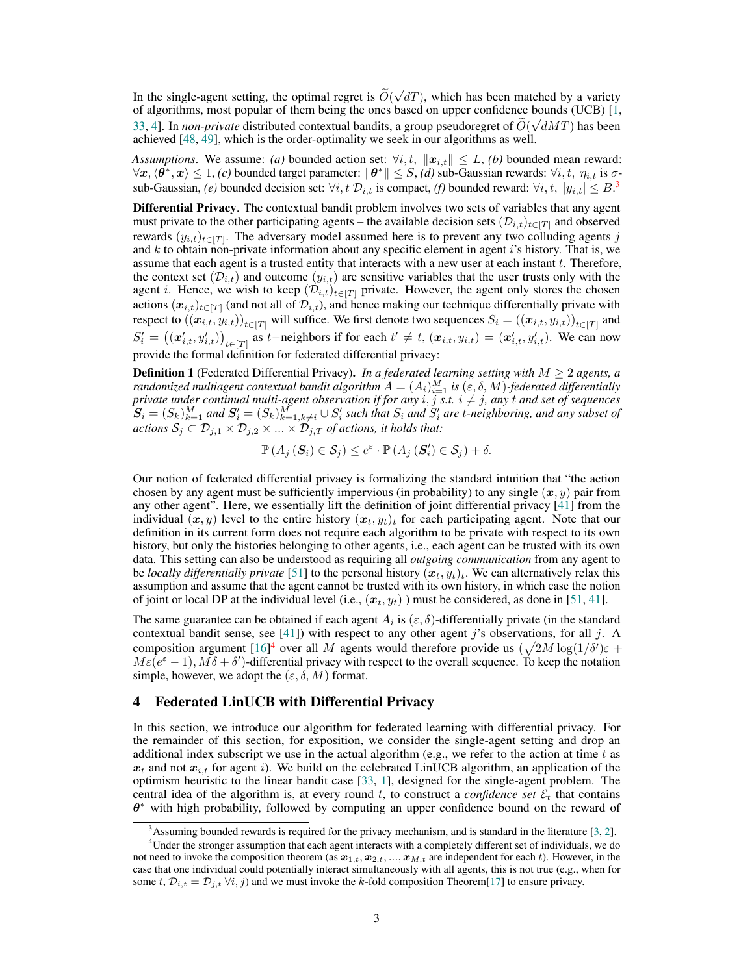In the single-agent setting, the optimal regret is  $O(\frac{1}{2} + \frac{1}{2})$ √  $dT$ ), which has been matched by a variety of algorithms, most popular of them being the ones based on upper confidence bounds (UCB) [\[1,](#page-19-8) [33,](#page-20-14) [4\]](#page-19-16). In *non-private* distributed contextual bandits, a group pseudoregret of  $O(\sqrt{dMT})$  has been achieved [\[48,](#page-21-3) [49\]](#page-21-2), which is the order-optimality we seek in our algorithms as well.

*Assumptions.* We assume: *(a)* bounded action set:  $\forall i, t, ||x_{i,t}|| \leq L$ , *(b)* bounded mean reward:  $\forall x,\langle \theta^*,x\rangle\leq 1,$   $(c)$  bounded target parameter:  $\|\theta^*\|\leq S,$   $(d)$  sub-Gaussian rewards:  $\forall i,t,~\eta_{i,t}$  is  $\sigma$ sub-Gaussian, *(e)* bounded decision set:  $\forall i, t \ \mathcal{D}_{i,t}$  is compact, *(f)* bounded reward:  $\forall i, t, |y_{i,t}| \leq B$ .<sup>[3](#page-2-0)</sup>

Differential Privacy. The contextual bandit problem involves two sets of variables that any agent must private to the other participating agents – the available decision sets  $(\mathcal{D}_{i,t})_{t\in[T]}$  and observed rewards  $(y_{i,t})_{t\in[T]}$ . The adversary model assumed here is to prevent any two colluding agents j and  $k$  to obtain non-private information about any specific element in agent  $i$ 's history. That is, we assume that each agent is a trusted entity that interacts with a new user at each instant t. Therefore, the context set  $(\mathcal{D}_{i,t})$  and outcome  $(y_{i,t})$  are sensitive variables that the user trusts only with the agent i. Hence, we wish to keep  $(\mathcal{D}_{i,t})_{t\in[T]}$  private. However, the agent only stores the chosen actions  $(x_{i,t})_{t\in[T]}$  (and not all of  $\mathcal{D}_{i,t}$ ), and hence making our technique differentially private with respect to  $(\left(\bm{x}_{i,t}, y_{i,t}\right))_{t\in[T]}$  will suffice. We first denote two sequences  $S_i = \left((\bm{x}_{i,t}, y_{i,t})\right)_{t\in[T]}$  and  $S_i' = ((x_{i,t}', y_{i,t}'))_{t \in [T]}$  as t-neighbors if for each  $t' \neq t$ ,  $(x_{i,t}, y_{i,t}) = (x_{i,t}', y_{i,t}')$ . We can now provide the formal definition for federated differential privacy:

**Definition 1** (Federated Differential Privacy). *In a federated learning setting with*  $M \geq 2$  *agents, a randomized multiagent contextual bandit algorithm*  $A = (A_i)_{i=1}^M$  *is*  $(\varepsilon, \delta, M)$ *-federated differentially private under continual multi-agent observation if for any*  $i, j$  *s.t.*  $i \neq j$ *, any* t *and set of sequences*  $\mathbf{S}_i = (S_k)_{k=1}^M$  and  $\mathbf{S}'_i = (S_k)_{k=1, k\neq i}^M \cup S'_i$  such that  $S_i$  and  $S'_i$  are t-neighboring, and any subset of *actions*  $S_j \subset \mathcal{D}_{j,1} \times \mathcal{D}_{j,2} \times ... \times \mathcal{D}_{j,T}$  *of actions, it holds that:* 

$$
\mathbb{P}\left(A_j\left(\mathbf{S}_i\right)\in\mathcal{S}_j\right)\leq e^{\varepsilon}\cdot\mathbb{P}\left(A_j\left(\mathbf{S}'_i\right)\in\mathcal{S}_j\right)+\delta.
$$

Our notion of federated differential privacy is formalizing the standard intuition that "the action chosen by any agent must be sufficiently impervious (in probability) to any single  $(x, y)$  pair from any other agent". Here, we essentially lift the definition of joint differential privacy [\[41\]](#page-20-7) from the individual  $(x, y)$  level to the entire history  $(x_t, y_t)_t$  for each participating agent. Note that our definition in its current form does not require each algorithm to be private with respect to its own history, but only the histories belonging to other agents, i.e., each agent can be trusted with its own data. This setting can also be understood as requiring all *outgoing communication* from any agent to be *locally differentially private* [\[51\]](#page-21-8) to the personal history  $(x_t, y_t)_t$ . We can alternatively relax this assumption and assume that the agent cannot be trusted with its own history, in which case the notion of joint or local DP at the individual level (i.e.,  $(x_t, y_t)$ ) must be considered, as done in [\[51,](#page-21-8) [41\]](#page-20-7).

The same guarantee can be obtained if each agent  $A_i$  is  $(\varepsilon, \delta)$ -differentially private (in the standard contextual bandit sense, see  $[41]$ ) with respect to any other agent j's observations, for all j. A composition argument  $[16]^4$  $[16]^4$  $[16]^4$  over all M agents would therefore provide us  $(\sqrt{2M \log(1/\delta')\varepsilon} +$  $M\varepsilon(e^{\varepsilon}-1), M\delta + \delta'$ )-differential privacy with respect to the overall sequence. To keep the notation simple, however, we adopt the  $(\varepsilon, \delta, M)$  format.

## 4 Federated LinUCB with Differential Privacy

In this section, we introduce our algorithm for federated learning with differential privacy. For the remainder of this section, for exposition, we consider the single-agent setting and drop an additional index subscript we use in the actual algorithm (e.g., we refer to the action at time  $t$  as  $x_t$  and not  $x_{i,t}$  for agent i). We build on the celebrated LinUCB algorithm, an application of the optimism heuristic to the linear bandit case [\[33,](#page-20-14) [1\]](#page-19-8), designed for the single-agent problem. The central idea of the algorithm is, at every round t, to construct a *confidence set*  $\mathcal{E}_t$  that contains  $\theta^*$  with high probability, followed by computing an upper confidence bound on the reward of

<span id="page-2-1"></span><span id="page-2-0"></span> $3$ Assuming bounded rewards is required for the privacy mechanism, and is standard in the literature [\[3,](#page-19-17) [2\]](#page-19-18).

<sup>4</sup>Under the stronger assumption that each agent interacts with a completely different set of individuals, we do not need to invoke the composition theorem (as  $x_{1,t}, x_{2,t}, ..., x_{M,t}$  are independent for each t). However, in the case that one individual could potentially interact simultaneously with all agents, this is not true (e.g., when for some t,  $\mathcal{D}_{i,t} = \mathcal{D}_{j,t} \ \forall i,j$  and we must invoke the k-fold composition Theorem[\[17\]](#page-19-12) to ensure privacy.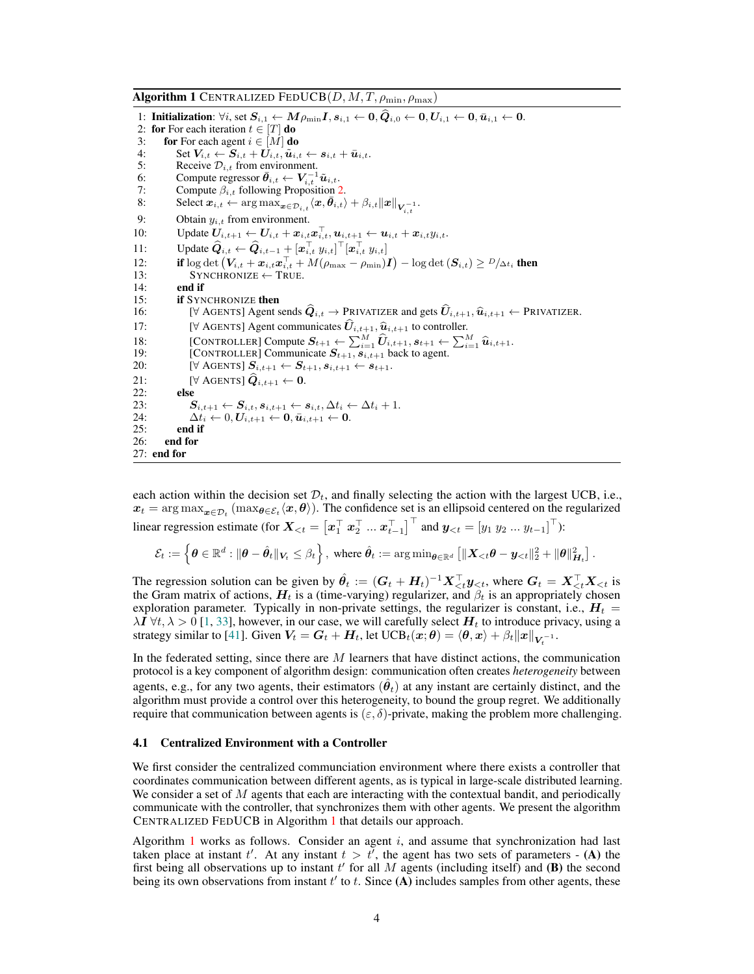<span id="page-3-0"></span>

| <b>Algorithm 1</b> CENTRALIZED FEDUCB $(D, M, T, \rho_{\min}, \rho_{\max})$ |                                                                                                                                                                                                                                        |
|-----------------------------------------------------------------------------|----------------------------------------------------------------------------------------------------------------------------------------------------------------------------------------------------------------------------------------|
|                                                                             | 1: Initialization: $\forall i$ , set $S_{i,1} \leftarrow M\rho_{\min} I$ , $s_{i,1} \leftarrow 0$ , $\hat{Q}_{i,0} \leftarrow 0$ , $U_{i,1} \leftarrow 0$ , $\bar{u}_{i,1} \leftarrow 0$ .<br>2: for For each iteration $t \in  T $ do |
| 3:                                                                          | <b>for</b> For each agent $i \in [M]$ <b>do</b>                                                                                                                                                                                        |
| 4:                                                                          | Set $V_{i,t} \leftarrow S_{i,t} + U_{i,t}, \tilde{u}_{i,t} \leftarrow s_{i,t} + \bar{u}_{i,t}.$                                                                                                                                        |
| 5:                                                                          | Receive $\mathcal{D}_{i,t}$ from environment.                                                                                                                                                                                          |
| 6:                                                                          | Compute regressor $\bar{\theta}_{i,t} \leftarrow V_{i,t}^{-1} \tilde{u}_{i,t}$ .                                                                                                                                                       |
| 7:                                                                          | Compute $\beta_{i,t}$ following Proposition 2.                                                                                                                                                                                         |
| 8:                                                                          | Select $\boldsymbol{x}_{i,t} \leftarrow \argmax_{\boldsymbol{x} \in \mathcal{D}_{i,t}} \langle \boldsymbol{x}, \boldsymbol{\theta}_{i,t} \rangle + \beta_{i,t}   \boldsymbol{x}  _{\boldsymbol{V}^{-1}}.$                              |
| 9:                                                                          | Obtain $y_{i,t}$ from environment.                                                                                                                                                                                                     |
| 10:                                                                         | Update $U_{i,t+1} \leftarrow U_{i,t} + x_{i,t} x_{i,t}^{\perp}, u_{i,t+1} \leftarrow u_{i,t} + x_{i,t} y_{i,t}.$                                                                                                                       |
| 11:                                                                         | Update $\widehat{Q}_{i,t} \leftarrow \widehat{Q}_{i,t-1} + [\mathbf{x}_{i,t}^\top y_{i,t}]^\top [\mathbf{x}_{i,t}^\top y_{i,t}]$                                                                                                       |
| 12:                                                                         | if $\log \det (V_{i,t} + x_{i,t}x_{i,t}^{\top} + M(\rho_{\max} - \rho_{\min})I) - \log \det(S_{i,t}) \ge D/\Delta t_i$ then                                                                                                            |
| 13:                                                                         | $SYNCHRONIZE \leftarrow TRUE$ .                                                                                                                                                                                                        |
| 14:                                                                         | end if                                                                                                                                                                                                                                 |
| 15:                                                                         | <b>if</b> SYNCHRONIZE then                                                                                                                                                                                                             |
| 16:                                                                         | [ $\forall$ AGENTS] Agent sends $\widehat{Q}_{i,t} \to \text{PRIVATIZER}$ and gets $\widehat{U}_{i,t+1}, \widehat{u}_{i,t+1} \leftarrow \text{PRIVATIZER}.$                                                                            |
| 17:                                                                         | [ $\forall$ AGENTS] Agent communicates $\hat{U}_{i,t+1}, \hat{u}_{i,t+1}$ to controller.                                                                                                                                               |
| 18:                                                                         | [CONTROLLER] Compute $S_{t+1} \leftarrow \sum_{i=1}^{M} \hat{U}_{i,t+1}, s_{t+1} \leftarrow \sum_{i=1}^{M} \hat{u}_{i,t+1}.$                                                                                                           |
| 19:                                                                         | [CONTROLLER] Communicate $S_{t+1}, s_{i,t+1}$ back to agent.                                                                                                                                                                           |
| <b>20:</b>                                                                  | $\left[ \forall \text{ AGENTS} \right] \boldsymbol{S}_{i,t+1} \leftarrow \boldsymbol{S}_{t+1}, \boldsymbol{s}_{i,t+1} \leftarrow \boldsymbol{s}_{t+1}.$                                                                                |
| 21:                                                                         | [ $\forall$ AGENTS] $\hat{Q}_{i,t+1} \leftarrow 0$ .                                                                                                                                                                                   |
| 22:                                                                         | else                                                                                                                                                                                                                                   |
| 23:                                                                         | $S_{i,t+1} \leftarrow S_{i,t}, s_{i,t+1} \leftarrow s_{i,t}, \Delta t_i \leftarrow \Delta t_i + 1.$                                                                                                                                    |
| 24:                                                                         | $\Delta t_i \leftarrow 0, \boldsymbol{U}_{i}{}_{t+1} \leftarrow 0, \bar{\boldsymbol{u}}_{i}{}_{t+1} \leftarrow 0.$                                                                                                                     |
| 25:                                                                         | end if                                                                                                                                                                                                                                 |
| 26:                                                                         | end for                                                                                                                                                                                                                                |
| $27:$ end for                                                               |                                                                                                                                                                                                                                        |

each action within the decision set  $\mathcal{D}_t$ , and finally selecting the action with the largest UCB, i.e.,  $x_t = \arg\max_{\bm{x} \in \mathcal{D}_t} (\max_{\bm{\theta} \in \mathcal{E}_t} \langle \bm{x}, \bm{\theta} \rangle)$ . The confidence set is an ellipsoid centered on the regularized linear regression estimate (for  $\boldsymbol{X}_{< t} = \left[\boldsymbol{x}_1^\top \ \boldsymbol{x}_2^\top \ ... \ \boldsymbol{x}_{t-1}^\top\right]^\top$  and  $\boldsymbol{y}_{< t} = \left[y_1 \ y_2 \ ... \ y_{t-1}\right]^\top$ ):

$$
\mathcal{E}_t:=\left\{\pmb{\theta}\in\mathbb{R}^d: \|\pmb{\theta}-\hat{\pmb{\theta}}_t\|_{\pmb{V}_t}\leq \beta_t\right\}, \text{ where } \hat{\pmb{\theta}}_t:=\argmin_{\pmb{\theta}\in\mathbb{R}^d}\left[\|\pmb{X}_{
$$

The regression solution can be given by  $\hat{\theta}_t := (G_t + H_t)^{-1} X_{\lt t}^\top y_{\lt t}$ , where  $G_t = X_{\lt t}^\top X_{\lt t}$  is the Gram matrix of actions,  $H_t$  is a (time-varying) regularizer, and  $\beta_t$  is an appropriately chosen exploration parameter. Typically in non-private settings, the regularizer is constant, i.e.,  $H_t$  =  $\lambda I \forall t, \lambda > 0$  [\[1,](#page-19-8) [33\]](#page-20-14), however, in our case, we will carefully select  $H_t$  to introduce privacy, using a strategy similar to [\[41\]](#page-20-7). Given  $V_t = G_t + H_t$ , let  $UCB_t(x;\theta) = \langle \theta, x \rangle + \beta_t ||x||_{V_t^{-1}}$ .

In the federated setting, since there are  $M$  learners that have distinct actions, the communication protocol is a key component of algorithm design: communication often creates *heterogeneity* between agents, e.g., for any two agents, their estimators  $(\hat{\theta}_t)$  at any instant are certainly distinct, and the algorithm must provide a control over this heterogeneity, to bound the group regret. We additionally require that communication between agents is  $(\varepsilon, \delta)$ -private, making the problem more challenging.

#### 4.1 Centralized Environment with a Controller

We first consider the centralized communciation environment where there exists a controller that coordinates communication between different agents, as is typical in large-scale distributed learning. We consider a set of  $M$  agents that each are interacting with the contextual bandit, and periodically communicate with the controller, that synchronizes them with other agents. We present the algorithm CENTRALIZED FEDUCB in Algorithm [1](#page-3-0) that details our approach.

Algorithm [1](#page-3-0) works as follows. Consider an agent  $i$ , and assume that synchronization had last taken place at instant t'. At any instant  $t > t'$ , the agent has two sets of parameters - (A) the first being all observations up to instant  $t'$  for all M agents (including itself) and (B) the second being its own observations from instant  $t'$  to  $t$ . Since  $(A)$  includes samples from other agents, these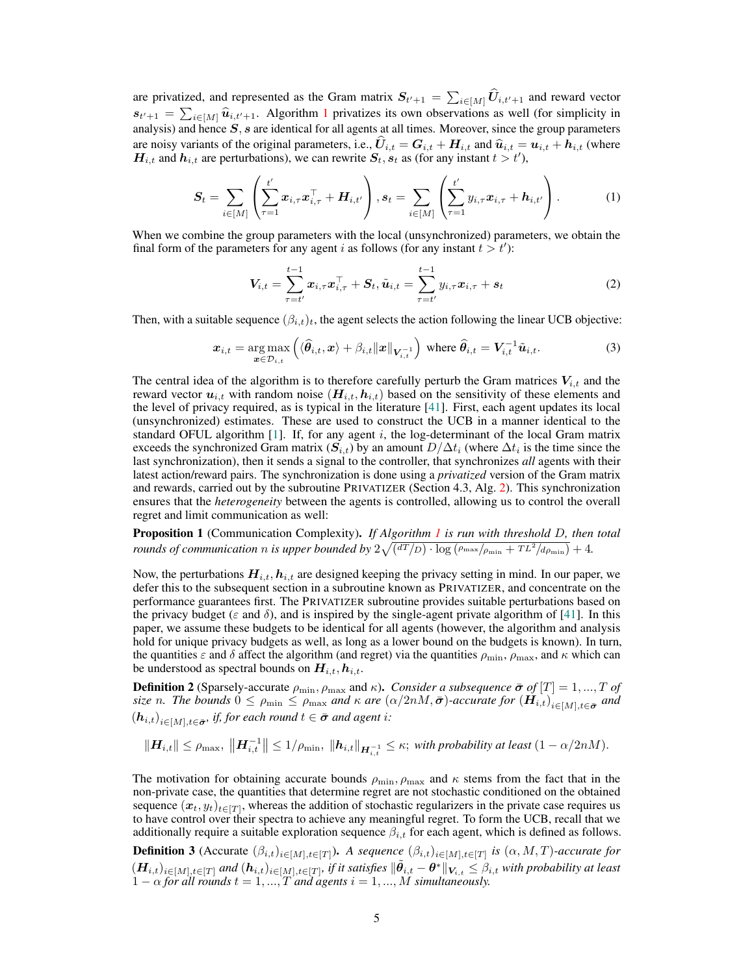are privatized, and represented as the Gram matrix  $S_{t'+1} = \sum_{i \in [M]} U_{i,t'+1}$  and reward vector  $s_{t'+1} = \sum_{i \in [M]} \hat{u}_{i,t'+1}$  $s_{t'+1} = \sum_{i \in [M]} \hat{u}_{i,t'+1}$  $s_{t'+1} = \sum_{i \in [M]} \hat{u}_{i,t'+1}$ . Algorithm 1 privatizes its own observations as well (for simplicity in analysis) and hange  $S$ , a are identical for all goatts at all times. Moreover, since the group permeters analysis) and hence  $S$ ,  $s$  are identical for all agents at all times. Moreover, since the group parameters are noisy variants of the original parameters, i.e.,  $\hat{U}_{i,t} = G_{i,t} + H_{i,t}$  and  $\hat{u}_{i,t} = u_{i,t} + h_{i,t}$  (where  $H_{i,t}$  and  $h_{i,t}$  are perturbations), we can rewrite  $S_t$ ,  $s_t$  as (for any instant  $t > t'$ ),

$$
S_t = \sum_{i \in [M]} \left( \sum_{\tau=1}^{t'} \bm{x}_{i,\tau} \bm{x}_{i,\tau}^{\top} + \bm{H}_{i,t'} \right), s_t = \sum_{i \in [M]} \left( \sum_{\tau=1}^{t'} y_{i,\tau} \bm{x}_{i,\tau} + \bm{h}_{i,t'} \right).
$$
 (1)

When we combine the group parameters with the local (unsynchronized) parameters, we obtain the final form of the parameters for any agent i as follows (for any instant  $t > t'$ ):

$$
V_{i,t} = \sum_{\tau=t'}^{t-1} x_{i,\tau} x_{i,\tau}^{\top} + S_t, \tilde{u}_{i,t} = \sum_{\tau=t'}^{t-1} y_{i,\tau} x_{i,\tau} + s_t
$$
(2)

Then, with a suitable sequence  $(\beta_{i,t})_t$ , the agent selects the action following the linear UCB objective:

$$
\boldsymbol{x}_{i,t} = \underset{\boldsymbol{x} \in \mathcal{D}_{i,t}}{\arg \max} \left( \langle \widehat{\boldsymbol{\theta}}_{i,t}, \boldsymbol{x} \rangle + \beta_{i,t} ||\boldsymbol{x}||_{\boldsymbol{V}_{i,t}^{-1}} \right) \text{ where } \widehat{\boldsymbol{\theta}}_{i,t} = \boldsymbol{V}_{i,t}^{-1} \tilde{\boldsymbol{u}}_{i,t}. \tag{3}
$$

The central idea of the algorithm is to therefore carefully perturb the Gram matrices  $V_{i,t}$  and the reward vector  $u_{i,t}$  with random noise  $(H_{i,t}, h_{i,t})$  based on the sensitivity of these elements and the level of privacy required, as is typical in the literature [\[41\]](#page-20-7). First, each agent updates its local (unsynchronized) estimates. These are used to construct the UCB in a manner identical to the standard OFUL algorithm [\[1\]](#page-19-8). If, for any agent i, the log-determinant of the local Gram matrix exceeds the synchronized Gram matrix  $(S_{i,t})$  by an amount  $D/\Delta t_i$  (where  $\Delta t_i$  is the time since the last synchronization), then it sends a signal to the controller, that synchronizes *all* agents with their latest action/reward pairs. The synchronization is done using a *privatized* version of the Gram matrix and rewards, carried out by the subroutine PRIVATIZER (Section 4.3, Alg. [2\)](#page-6-0). This synchronization ensures that the *heterogeneity* between the agents is controlled, allowing us to control the overall regret and limit communication as well:

<span id="page-4-0"></span>Proposition 1 (Communication Complexity). *If Algorithm [1](#page-3-0) is run with threshold* D*, then total rounds of communication n is upper bounded by*  $2\sqrt{(\frac{dT}{D}) \cdot \log (\frac{\rho_{\text{max}}}{\rho_{\text{min}}} + TL^2/d\rho_{\text{min}})} + 4$ .

Now, the perturbations  $H_{i,t}$ ,  $h_{i,t}$  are designed keeping the privacy setting in mind. In our paper, we defer this to the subsequent section in a subroutine known as PRIVATIZER, and concentrate on the performance guarantees first. The PRIVATIZER subroutine provides suitable perturbations based on the privacy budget ( $\varepsilon$  and  $\delta$ ), and is inspired by the single-agent private algorithm of [\[41\]](#page-20-7). In this paper, we assume these budgets to be identical for all agents (however, the algorithm and analysis hold for unique privacy budgets as well, as long as a lower bound on the budgets is known). In turn, the quantities  $\varepsilon$  and  $\delta$  affect the algorithm (and regret) via the quantities  $\rho_{\min}$ ,  $\rho_{\max}$ , and  $\kappa$  which can be understood as spectral bounds on  $H_{i,t}$ ,  $h_{i,t}$ .

**Definition 2** (Sparsely-accurate  $\rho_{\min}$ ,  $\rho_{\max}$  and  $\kappa$ ). *Consider a subsequence*  $\bar{\sigma}$  *of* [T] = 1, ..., T *of size* n. The bounds  $0 \le \rho_{\min} \le \rho_{\max}$  and  $\kappa$  are  $(\alpha/2nM,\bar{\sigma})$ -accurate for  $(H_{i,t})_{i\in[M],t\in\bar{\sigma}}$  and  $(h_{i,t})_{i\in[M],t\in\bar{\sigma}}$ , if, for each round  $t\in\bar{\sigma}$  and agent i:

$$
\|\boldsymbol{H}_{i,t}\| \leq \rho_{\max}, \ \|\boldsymbol{H}_{i,t}^{-1}\| \leq 1/\rho_{\min}, \ \|\boldsymbol{h}_{i,t}\|_{\boldsymbol{H}_{i,t}^{-1}} \leq \kappa; \ \text{with probability at least } (1 - \alpha/2n) \,.
$$

The motivation for obtaining accurate bounds  $\rho_{\min}$ ,  $\rho_{\max}$  and  $\kappa$  stems from the fact that in the non-private case, the quantities that determine regret are not stochastic conditioned on the obtained sequence  $(x_t, y_t)_{t \in [T]}$ , whereas the addition of stochastic regularizers in the private case requires us to have control over their spectra to achieve any meaningful regret. To form the UCB, recall that we additionally require a suitable exploration sequence  $\beta_{i,t}$  for each agent, which is defined as follows.

**Definition 3** (Accurate  $(\beta_{i,t})_{i\in[M],t\in[T]}$ ). *A sequence*  $(\beta_{i,t})_{i\in[M],t\in[T]}$  *is*  $(\alpha, M, T)$ *-accurate for*  $(H_{i,t})_{i\in[M],t\in[T]}$  and  $(h_{i,t})_{i\in[M],t\in[T]}$ , if it satisfies  $\|\tilde{\theta}_{i,t} - \theta^*\|_{\mathbf{V}_{i,t}} \leq \beta_{i,t}$  with probability at least  $1 - \alpha$  *for all rounds*  $t = 1, ..., T$  *and agents*  $i = 1, ..., M$  *simultaneously.*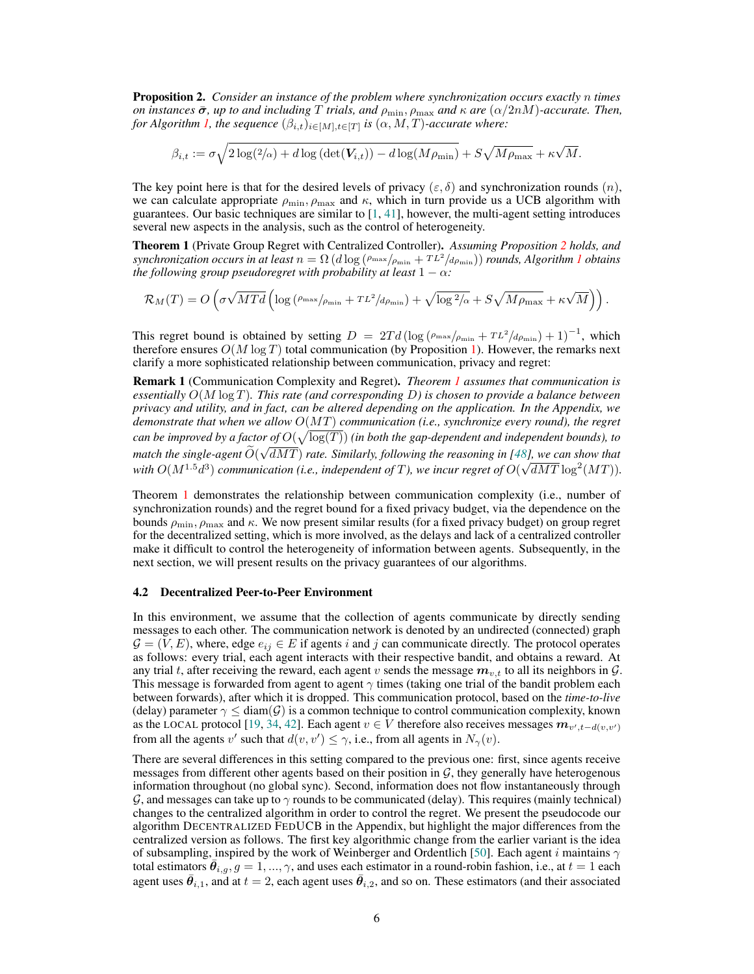<span id="page-5-0"></span>Proposition 2. *Consider an instance of the problem where synchronization occurs exactly* n *times on instances*  $\bar{\sigma}$ *, up to and including*  $T$  *trials, and*  $\rho_{\min}$ ,  $\rho_{\max}$  *and*  $\kappa$  *are*  $(\alpha/2nM)$ -accurate. Then, *for Algorithm [1,](#page-3-0) the sequence*  $(\beta_{i,t})_{i \in [M], t \in [T]}$  *is*  $(\alpha, M, T)$ -accurate where:

$$
\beta_{i,t} := \sigma \sqrt{2\log(2/\alpha) + d\log\left(\det(\mathbf{V}_{i,t})\right) - d\log(M\rho_{\min})} + S\sqrt{M\rho_{\max}} + \kappa\sqrt{M}.
$$

The key point here is that for the desired levels of privacy ( $\varepsilon$ ,  $\delta$ ) and synchronization rounds  $(n)$ , we can calculate appropriate  $\rho_{\min}$ ,  $\rho_{\max}$  and  $\kappa$ , which in turn provide us a UCB algorithm with guarantees. Our basic techniques are similar to  $[1, 41]$  $[1, 41]$  $[1, 41]$ , however, the multi-agent setting introduces several new aspects in the analysis, such as the control of heterogeneity.

<span id="page-5-1"></span>Theorem 1 (Private Group Regret with Centralized Controller). *Assuming Proposition [2](#page-5-0) holds, and*  $s$ ynchronization occurs in at least  $n = \Omega(d \log(\rho_{\max}/\rho_{\min} + TL^2/d\rho_{\min}))$  *rounds, Algorithm [1](#page-3-0) obtains the following group pseudoregret with probability at least*  $1 - \alpha$ *:* 

$$
\mathcal{R}_M(T) = O\left(\sigma\sqrt{MTd}\left(\log\left(\tfrac{\rho_{\max}}{\rho_{\min}} + TL^2/d\rho_{\min}\right) + \sqrt{\log^2/\alpha} + S\sqrt{M\rho_{\max}} + \kappa\sqrt{M}\right)\right).
$$

This regret bound is obtained by setting  $D = 2Td(\log(\rho_{\max}/\rho_{\min} + TL^2/d\rho_{\min}) + 1)^{-1}$ , which therefore ensures  $O(M \log T)$  total communication (by Proposition [1\)](#page-4-0). However, the remarks next clarify a more sophisticated relationship between communication, privacy and regret:

<span id="page-5-2"></span>Remark 1 (Communication Complexity and Regret). *Theorem [1](#page-5-1) assumes that communication is essentially* O(M log T)*. This rate (and corresponding* D*) is chosen to provide a balance between privacy and utility, and in fact, can be altered depending on the application. In the Appendix, we demonstrate that when we allow* O(MT) *communication (i.e., synchronize every round), the regret can be improved by a factor of*  $O(\sqrt{\log(T)})$  *(in both the gap-dependent and independent bounds), to match the single-agent*  $O(\sqrt{dMT})$  *rate. Similarly, following the reasoning in [\[48\]](#page-21-3), we can show that* with  $O(M^{1.5}d^3)$  communication (i.e., independent of T), we incur regret of  $O(\sqrt{dMT}\log^2 (MT))$ .

Theorem [1](#page-5-1) demonstrates the relationship between communication complexity (i.e., number of synchronization rounds) and the regret bound for a fixed privacy budget, via the dependence on the bounds  $\rho_{\min}$ ,  $\rho_{\max}$  and  $\kappa$ . We now present similar results (for a fixed privacy budget) on group regret for the decentralized setting, which is more involved, as the delays and lack of a centralized controller make it difficult to control the heterogeneity of information between agents. Subsequently, in the next section, we will present results on the privacy guarantees of our algorithms.

#### 4.2 Decentralized Peer-to-Peer Environment

In this environment, we assume that the collection of agents communicate by directly sending messages to each other. The communication network is denoted by an undirected (connected) graph  $G = (V, E)$ , where, edge  $e_{ij} \in E$  if agents i and j can communicate directly. The protocol operates as follows: every trial, each agent interacts with their respective bandit, and obtains a reward. At any trial t, after receiving the reward, each agent v sends the message  $m_{v,t}$  to all its neighbors in  $\mathcal{G}$ . This message is forwarded from agent to agent  $\gamma$  times (taking one trial of the bandit problem each between forwards), after which it is dropped. This communication protocol, based on the *time-to-live* (delay) parameter  $\gamma \leq \text{diam}(\mathcal{G})$  is a common technique to control communication complexity, known as the LOCAL protocol [\[19,](#page-19-19) [34,](#page-20-19) [42\]](#page-21-9). Each agent  $v \in V$  therefore also receives messages  $m_{v',t-d(v,v')}$ from all the agents v' such that  $d(v, v') \leq \gamma$ , i.e., from all agents in  $N_{\gamma}(v)$ .

There are several differences in this setting compared to the previous one: first, since agents receive messages from different other agents based on their position in  $\mathcal{G}$ , they generally have heterogenous information throughout (no global sync). Second, information does not flow instantaneously through G, and messages can take up to  $\gamma$  rounds to be communicated (delay). This requires (mainly technical) changes to the centralized algorithm in order to control the regret. We present the pseudocode our algorithm DECENTRALIZED FEDUCB in the Appendix, but highlight the major differences from the centralized version as follows. The first key algorithmic change from the earlier variant is the idea of subsampling, inspired by the work of Weinberger and Ordentlich [\[50\]](#page-21-10). Each agent i maintains  $\gamma$ total estimators  $\bar{\theta}_{i,g}, g = 1, ..., \gamma$ , and uses each estimator in a round-robin fashion, i.e., at  $t = 1$  each agent uses  $\bar{\theta}_{i,1}$ , and at  $t=2$ , each agent uses  $\bar{\theta}_{i,2}$ , and so on. These estimators (and their associated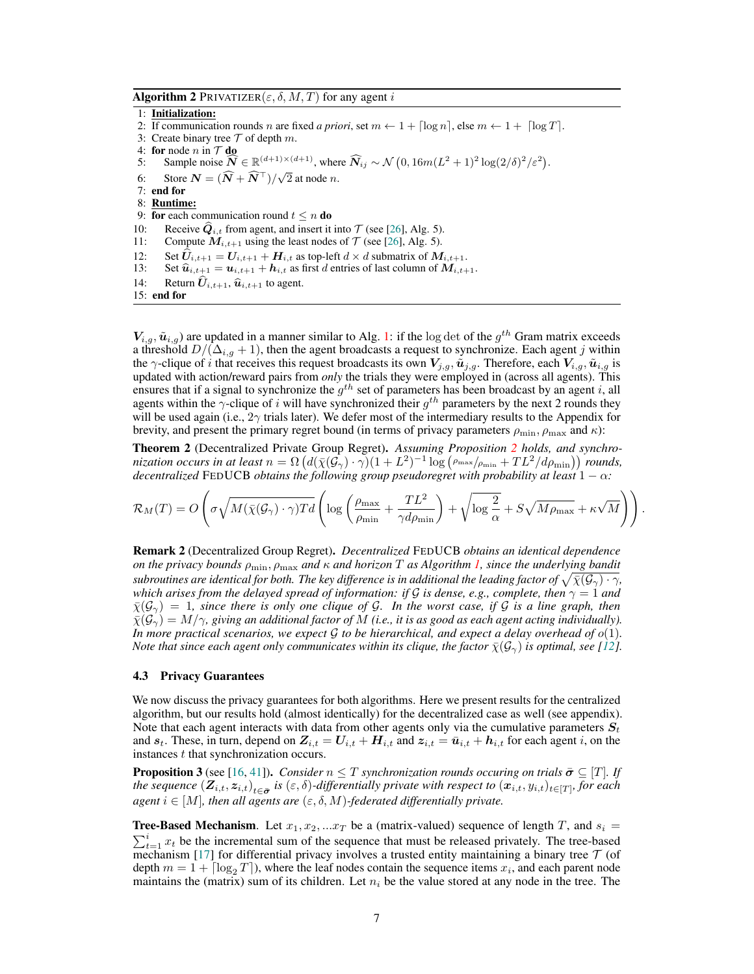**Algorithm 2** PRIVATIZER( $\varepsilon$ ,  $\delta$ ,  $M$ ,  $T$ ) for any agent i

<span id="page-6-0"></span>1: Initialization:

- 2: If communication rounds n are fixed a priori, set  $m \leftarrow 1 + \lceil \log n \rceil$ , else  $m \leftarrow 1 + \lceil \log T \rceil$ .
- 3: Create binary tree  $T$  of depth m.
- 4: for node *n* in  $T$  do
- 5: Sample noise  $\widehat{N}$  ∈  $\mathbb{R}^{(d+1)\times(d+1)}$ , where  $\widehat{N}_{ij}$  ~  $\mathcal{N}(0, 16m(L^2 + 1)^2 \log(2/\delta)^2/\epsilon^2)$ .
- <span id="page-6-1"></span>6: Store  $N = (\widehat{N} + \widehat{N}^{\top})/\sqrt{2}$  at node *n*.

7: end for

- 8: Runtime:
- 9: for each communication round  $t \leq n$  do
- 10: Receive  $\hat{Q}_{i,t}$  from agent, and insert it into  $\mathcal{T}$  (see [\[26\]](#page-20-15), Alg. 5).<br>11: Compute  $M_{i,t+1}$  using the least nodes of  $\mathcal{T}$  (see [26], Alg. 5).
- Compute  $M_{i,t+1}$  using the least nodes of  $\mathcal T$  (see [\[26\]](#page-20-15), Alg. 5).
- 12: Set  $\hat{U}_{i,t+1} = U_{i,t+1} + H_{i,t}$  as top-left  $d \times d$  submatrix of  $M_{i,t+1}$ .<br>13: Set  $\hat{u}_{i,t+1} = u_{i,t+1} + h_{i,t}$  as first d entries of last column of  $M_{i,t+1}$
- 13: Set  $\hat{u}_{i,t+1} = u_{i,t+1} + h_{i,t}$  as first d entries of last column of  $M_{i,t+1}$ .<br>14: Return  $\hat{U}_{i,t+1}$ ,  $\hat{u}_{i,t+1}$  to agent.
- Return  $\hat{U}_{i,t+1}, \hat{u}_{i,t+1}$  to agent.
- 15: end for

 $V_{i,g}, \tilde{u}_{i,g}$ ) are updated in a manner similar to Alg. [1:](#page-3-0) if the log det of the  $g^{th}$  Gram matrix exceeds a threshold  $D/(\Delta_{i,g} + 1)$ , then the agent broadcasts a request to synchronize. Each agent j within the  $\gamma$ -clique of i that receives this request broadcasts its own  $V_{j,g}$ ,  $\tilde{u}_{j,g}$ . Therefore, each  $V_{i,g}$ ,  $\tilde{u}_{i,g}$  is updated with action/reward pairs from *only* the trials they were employed in (across all agents). This ensures that if a signal to synchronize the  $g^{th}$  set of parameters has been broadcast by an agent i, all agents within the  $\gamma$ -clique of i will have synchronized their  $g^{th}$  parameters by the next 2 rounds they will be used again (i.e.,  $2\gamma$  trials later). We defer most of the intermediary results to the Appendix for brevity, and present the primary regret bound (in terms of privacy parameters  $\rho_{\rm min}, \rho_{\rm max}$  and  $\kappa$ ):

<span id="page-6-2"></span>Theorem 2 (Decentralized Private Group Regret). *Assuming Proposition [2](#page-5-0) holds, and synchro*nization occurs in at least  $n = \Omega \left( d(\bar{\chi}(\mathcal{G}_\gamma)\cdot \gamma)(1+L^2)^{-1} \log \left( \rho_{\max}/\rho_{\min} + TL^2/d\rho_{\min} \right) \right)$  rounds, *decentralized* FEDUCB *obtains the following group pseudoregret with probability at least*  $1 - \alpha$ :

$$
\mathcal{R}_M(T) = O\left(\sigma\sqrt{M(\bar{\chi}(\mathcal{G}_{\gamma}) \cdot \gamma)Td}\left(\log\left(\frac{\rho_{\max}}{\rho_{\min}} + \frac{TL^2}{\gamma d\rho_{\min}}\right) + \sqrt{\log\frac{2}{\alpha}} + S\sqrt{M\rho_{\max}} + \kappa\sqrt{M}\right)\right).
$$

Remark 2 (Decentralized Group Regret). *Decentralized* FEDUCB *obtains an identical dependence on the privacy bounds* ρmin, ρmax *and* κ *and horizon* T *as Algorithm [1,](#page-3-0) since the underlying bandit*  $s$ ubroutines are identical for both. The key difference is in additional the leading factor of  $\sqrt{\bar{\chi}(\mathcal{G}_\gamma)\cdot\gamma}$ , *which arises from the delayed spread of information: if* G *is dense, e.g., complete, then*  $\gamma = 1$  *and*  $\bar{\chi}(\mathcal{G}_{\gamma}) = 1$ , since there is only one clique of  $\mathcal{G}$ . In the worst case, if  $\mathcal{G}$  is a line graph, then  $\bar{\chi}(\mathcal{G}_{\gamma}) = M/\gamma$ , giving an additional factor of M (i.e., it is as good as each agent acting individually). In more practical scenarios, we expect  $\mathcal G$  to be hierarchical, and expect a delay overhead of  $o(1)$ . *Note that since each agent only communicates within its clique, the factor*  $\bar{\chi}(\mathcal{G}_{\gamma})$  *is optimal, see* [\[12\]](#page-19-5)*.* 

#### 4.3 Privacy Guarantees

We now discuss the privacy guarantees for both algorithms. Here we present results for the centralized algorithm, but our results hold (almost identically) for the decentralized case as well (see appendix). Note that each agent interacts with data from other agents only via the cumulative parameters  $S_t$ and  $s_t$ . These, in turn, depend on  $Z_{i,t} = U_{i,t} + H_{i,t}$  and  $z_{i,t} = \bar{u}_{i,t} + h_{i,t}$  for each agent i, on the instances t that synchronization occurs.

**Proposition 3** (see [\[16,](#page-19-9) [41\]](#page-20-7)). *Consider*  $n \leq T$  *synchronization rounds occuring on trials*  $\bar{\sigma} \subseteq [T]$ *. If the sequence*  $(\mathbf{Z}_{i,t},z_{i,t})_{t\in\bar{\bm{\sigma}}}$  is  $(\varepsilon,\delta)$ -differentially private with respect to  $(x_{i,t},y_{i,t})_{t\in[T]},$  for each *agent*  $i \in [M]$ , then all agents are  $(\varepsilon, \delta, M)$ -federated differentially private.

**Tree-Based Mechanism.** Let  $x_1, x_2, ...x_T$  be a (matrix-valued) sequence of length T, and  $s_i$  $\sum_{t=1}^{i} x_t$  be the incremental sum of the sequence that must be released privately. The tree-based mechanism [\[17\]](#page-19-12) for differential privacy involves a trusted entity maintaining a binary tree  $\mathcal T$  (of depth  $m = 1 + \lceil \log_2 T \rceil$ ), where the leaf nodes contain the sequence items  $x_i$ , and each parent node maintains the (matrix) sum of its children. Let  $n_i$  be the value stored at any node in the tree. The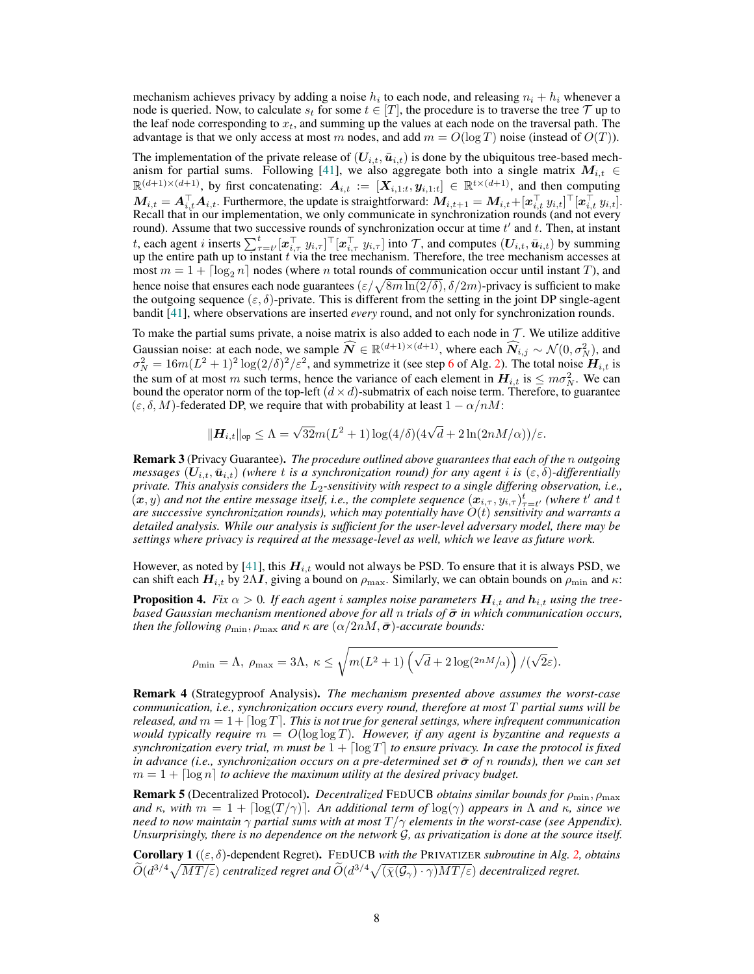mechanism achieves privacy by adding a noise  $h_i$  to each node, and releasing  $n_i + h_i$  whenever a node is queried. Now, to calculate  $s_t$  for some  $t \in [T]$ , the procedure is to traverse the tree  $\mathcal T$  up to the leaf node corresponding to  $x_t$ , and summing up the values at each node on the traversal path. The advantage is that we only access at most m nodes, and add  $m = O(\log T)$  noise (instead of  $O(T)$ ).

The implementation of the private release of  $(U_{i,t}, \bar{u}_{i,t})$  is done by the ubiquitous tree-based mech-anism for partial sums. Following [\[41\]](#page-20-7), we also aggregate both into a single matrix  $M_{i,t} \in$  $\mathbb{R}^{(d+1)\times(d+1)}$ , by first concatenating:  $A_{i,t} := [X_{i,1:t}, y_{i,1:t}] \in \mathbb{R}^{t \times (d+1)}$ , and then computing  $M_{i,t} = \bm{A}_{i,t}^\top \bm{A}_{i,t}.$  Furthermore, the update is straightforward:  $M_{i,t+1} = M_{i,t} + [\bm{x}_{i,t}^\top \ y_{i,t}]^\top [\bm{x}_{i,t}^\top \ y_{i,t}].$ Recall that in our implementation, we only communicate in synchronization rounds (and not every round). Assume that two successive rounds of synchronization occur at time  $t'$  and  $t$ . Then, at instant t, each agent i inserts  $\sum_{\tau=t'}^t [\boldsymbol{x}_{i,\tau}^\top y_{i,\tau}]^\top [\boldsymbol{x}_{i,\tau}^\top y_{i,\tau}]$  into  $\mathcal{T}$ , and computes  $(U_{i,t}, \bar{u}_{i,t})$  by summing up the entire path up to instant  $t$  via the tree mechanism. Therefore, the tree mechanism accesses at most  $m = 1 + \lceil \log_2 n \rceil$  nodes (where n total rounds of communication occur until instant T), and hence noise that ensures each node guarantees  $(\varepsilon/\sqrt{8m \ln(2/\delta)}, \delta/2m)$ -privacy is sufficient to make the outgoing sequence  $(\varepsilon, \delta)$ -private. This is different from the setting in the joint DP single-agent bandit [\[41\]](#page-20-7), where observations are inserted *every* round, and not only for synchronization rounds.

To make the partial sums private, a noise matrix is also added to each node in  $\mathcal T$ . We utilize additive Gaussian noise: at each node, we sample  $\widehat{N} \in \mathbb{R}^{(d+1)\times(d+1)}$ , where each  $\widehat{N}_{i,j} \sim \mathcal{N}(0, \sigma_N^2)$ , and  $\sigma_N^2 = 16m(L^2 + 1)^2 \log(2/\delta)^2 / \varepsilon^2$  $\sigma_N^2 = 16m(L^2 + 1)^2 \log(2/\delta)^2 / \varepsilon^2$  $\sigma_N^2 = 16m(L^2 + 1)^2 \log(2/\delta)^2 / \varepsilon^2$ , and symmetrize it (see step 6 of Alg. [2\)](#page-6-0). The total noise  $H_{i,t}$  is the sum of at most m such terms, hence the variance of each element in  $H_{i,t}$  is  $\leq m\sigma_N^2$ . We can bound the operator norm of the top-left  $(d \times d)$ -submatrix of each noise term. Therefore, to guarantee  $(\varepsilon, \delta, M)$ -federated DP, we require that with probability at least  $1 - \alpha/nM$ :

$$
\|\mathbf{H}_{i,t}\|_{\text{op}} \leq \Lambda = \sqrt{32}m(L^2+1)\log(4/\delta)(4\sqrt{d}+2\ln(2nM/\alpha))/\varepsilon.
$$

Remark 3 (Privacy Guarantee). *The procedure outlined above guarantees that each of the* n *outgoing messages*  $(U_{i,t}, \bar{u}_{i,t})$  *(where t is a synchronization round) for any agent i is*  $(\varepsilon, \delta)$ *-differentially private. This analysis considers the*  $L_2$ -sensitivity with respect to a single differing observation, i.e.,  $(x, y)$  and not the entire message itself, i.e., the complete sequence  $(x_{i, \tau}, y_{i, \tau})_{\tau=t'}^t$  (where  $t'$  and  $t$ ) *are successive synchronization rounds), which may potentially have* O(t) *sensitivity and warrants a detailed analysis. While our analysis is sufficient for the user-level adversary model, there may be settings where privacy is required at the message-level as well, which we leave as future work.*

However, as noted by [\[41\]](#page-20-7), this  $H_{i,t}$  would not always be PSD. To ensure that it is always PSD, we can shift each  $H_{i,t}$  by 2 $\Lambda I$ , giving a bound on  $\rho_{\text{max}}$ . Similarly, we can obtain bounds on  $\rho_{\text{min}}$  and  $\kappa$ :

**Proposition 4.** *Fix*  $\alpha > 0$ . *If each agent i samples noise parameters*  $H_{i,t}$  *and*  $h_{i,t}$  *using the treebased Gaussian mechanism mentioned above for all n trials of*  $\bar{\sigma}$  *in which communication occurs, then the following*  $\rho_{\min}$ ,  $\rho_{\max}$  *and*  $\kappa$  *are*  $(\alpha/2nM, \bar{\sigma})$ *-accurate bounds:* 

$$
\rho_{\min} = \Lambda, \ \rho_{\max} = 3\Lambda, \ \kappa \le \sqrt{m(L^2+1)\left(\sqrt{d}+2\log(2nM/\alpha)\right)/(\sqrt{2}\varepsilon)}.
$$

Remark 4 (Strategyproof Analysis). *The mechanism presented above assumes the worst-case communication, i.e., synchronization occurs every round, therefore at most* T *partial sums will be released, and*  $m = 1 + \lceil \log T \rceil$ . This is not true for general settings, where infrequent communication *would typically require*  $m = O(\log \log T)$ *. However, if any agent is byzantine and requests a synchronization every trial,* m must be  $1 + \lceil \log T \rceil$  to ensure privacy. In case the protocol is fixed *in advance (i.e., synchronization occurs on a pre-determined set*  $\bar{\sigma}$  *of n rounds), then we can set*  $m = 1 + \lceil \log n \rceil$  to achieve the maximum utility at the desired privacy budget.

Remark 5 (Decentralized Protocol). *Decentralized* FEDUCB *obtains similar bounds for* ρmin, ρmax *and*  $\kappa$ , with  $m = 1 + \lceil \log(T/\gamma) \rceil$ . An additional term of  $\log(\gamma)$  appears in  $\Lambda$  and  $\kappa$ , since we *need to now maintain*  $\gamma$  *partial sums with at most*  $T/\gamma$  *elements in the worst-case (see Appendix). Unsurprisingly, there is no dependence on the network* G*, as privatization is done at the source itself.*

Corollary 1 ((ε, δ)-dependent Regret). FEDUCB *with the* PRIVATIZER *subroutine in Alg. [2,](#page-6-0) obtains*  $\widetilde{O}(d^{3/4}\sqrt{MT/\varepsilon})$  centralized regret and  $\widetilde{O}(d^{3/4}\sqrt{(\bar{\chi}(\mathcal{G}_\gamma)\cdot\gamma)MT/\varepsilon})$  decentralized regret.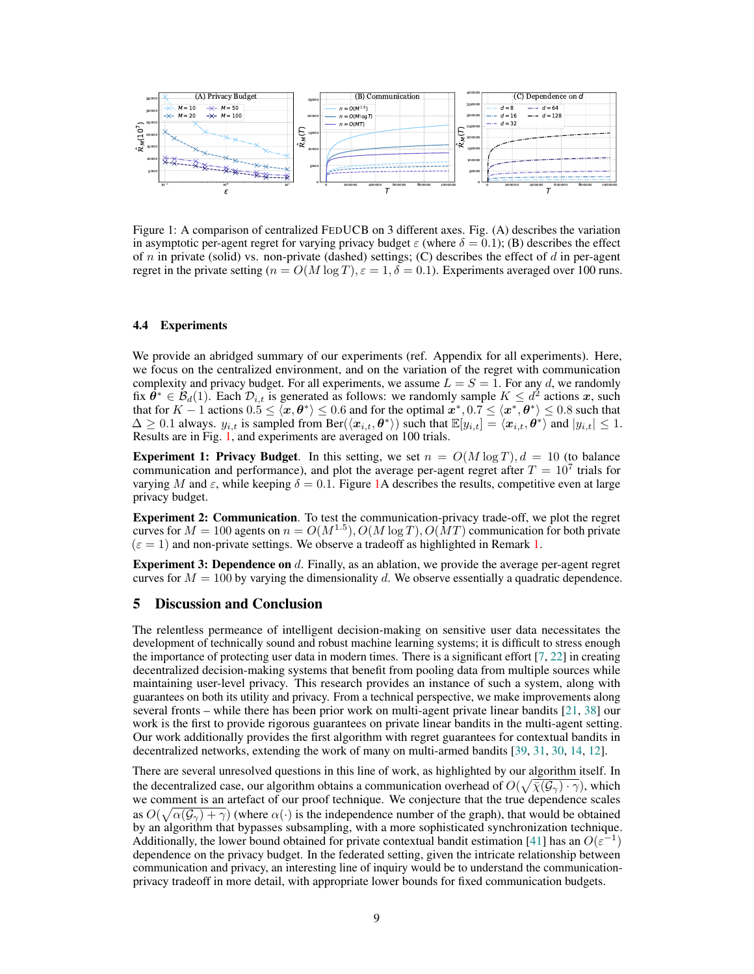

<span id="page-8-0"></span>Figure 1: A comparison of centralized FEDUCB on 3 different axes. Fig. (A) describes the variation in asymptotic per-agent regret for varying privacy budget  $\varepsilon$  (where  $\delta = 0.1$ ); (B) describes the effect of  $n$  in private (solid) vs. non-private (dashed) settings; (C) describes the effect of  $d$  in per-agent regret in the private setting ( $n = O(M \log T)$ ,  $\varepsilon = 1$ ,  $\delta = 0.1$ ). Experiments averaged over 100 runs.

#### 4.4 Experiments

We provide an abridged summary of our experiments (ref. Appendix for all experiments). Here, we focus on the centralized environment, and on the variation of the regret with communication complexity and privacy budget. For all experiments, we assume  $L = S = 1$ . For any d, we randomly fix  $\hat{\theta}^* \in \mathcal{B}_d(1)$ . Each  $\mathcal{D}_{i,t}$  is generated as follows: we randomly sample  $K \leq d^2$  actions x, such that for  $K-1$  actions  $0.5\leq\langle\bm{x},\bm{\theta}^*\rangle\leq0.6$  and for the optimal  $\bm{x}^*,0.7\leq\langle\bm{x}^*,\bm{\theta}^*\rangle\leq0.8$  such that  $\Delta \geq 0.1$  always.  $y_{i,t}$  is sampled from Ber( $\langle x_{i,t}, \theta^* \rangle$ ) such that  $\mathbb{E}[y_{i,t}] = \langle x_{i,t}, \theta^* \rangle$  and  $|y_{i,t}| \leq 1$ . Results are in Fig. [1,](#page-8-0) and experiments are averaged on 100 trials.

**Experiment 1: Privacy Budget.** In this setting, we set  $n = O(M \log T)$ ,  $d = 10$  (to balance communication and performance), and plot the average per-agent regret after  $T = 10^7$  trials for varying M and  $\varepsilon$ , while keeping  $\delta = 0.1$ . Figure [1A](#page-8-0) describes the results, competitive even at large privacy budget.

Experiment 2: Communication. To test the communication-privacy trade-off, we plot the regret curves for  $M = 100$  agents on  $n = O(M^{1.5})$ ,  $O(M \log T)$ ,  $O(MT)$  communication for both private  $(\varepsilon = 1)$  and non-private settings. We observe a tradeoff as highlighted in Remark [1.](#page-5-2)

**Experiment 3: Dependence on** d. Finally, as an ablation, we provide the average per-agent regret curves for  $M = 100$  by varying the dimensionality d. We observe essentially a quadratic dependence.

#### 5 Discussion and Conclusion

The relentless permeance of intelligent decision-making on sensitive user data necessitates the development of technically sound and robust machine learning systems; it is difficult to stress enough the importance of protecting user data in modern times. There is a significant effort  $[7, 22]$  $[7, 22]$  $[7, 22]$  in creating decentralized decision-making systems that benefit from pooling data from multiple sources while maintaining user-level privacy. This research provides an instance of such a system, along with guarantees on both its utility and privacy. From a technical perspective, we make improvements along several fronts – while there has been prior work on multi-agent private linear bandits [\[21,](#page-19-15) [38\]](#page-20-4) our work is the first to provide rigorous guarantees on private linear bandits in the multi-agent setting. Our work additionally provides the first algorithm with regret guarantees for contextual bandits in decentralized networks, extending the work of many on multi-armed bandits [\[39,](#page-20-6) [31,](#page-20-5) [30,](#page-20-8) [14,](#page-19-2) [12\]](#page-19-5).

There are several unresolved questions in this line of work, as highlighted by our algorithm itself. In the decentralized case, our algorithm obtains a communication overhead of  $O(\sqrt{\bar{\chi}}(\mathcal{G}_{\gamma}) \cdot \gamma)$ , which we comment is an artefact of our proof technique. We conjecture that the true dependence scales as  $O(\sqrt{\alpha(\mathcal{G}_{\gamma}) + \gamma})$  (where  $\alpha(\cdot)$  is the independence number of the graph), that would be obtained by an algorithm that bypasses subsampling, with a more sophisticated synchronization technique. Additionally, the lower bound obtained for private contextual bandit estimation [\[41\]](#page-20-7) has an  $O(\varepsilon^{-1})$ dependence on the privacy budget. In the federated setting, given the intricate relationship between communication and privacy, an interesting line of inquiry would be to understand the communicationprivacy tradeoff in more detail, with appropriate lower bounds for fixed communication budgets.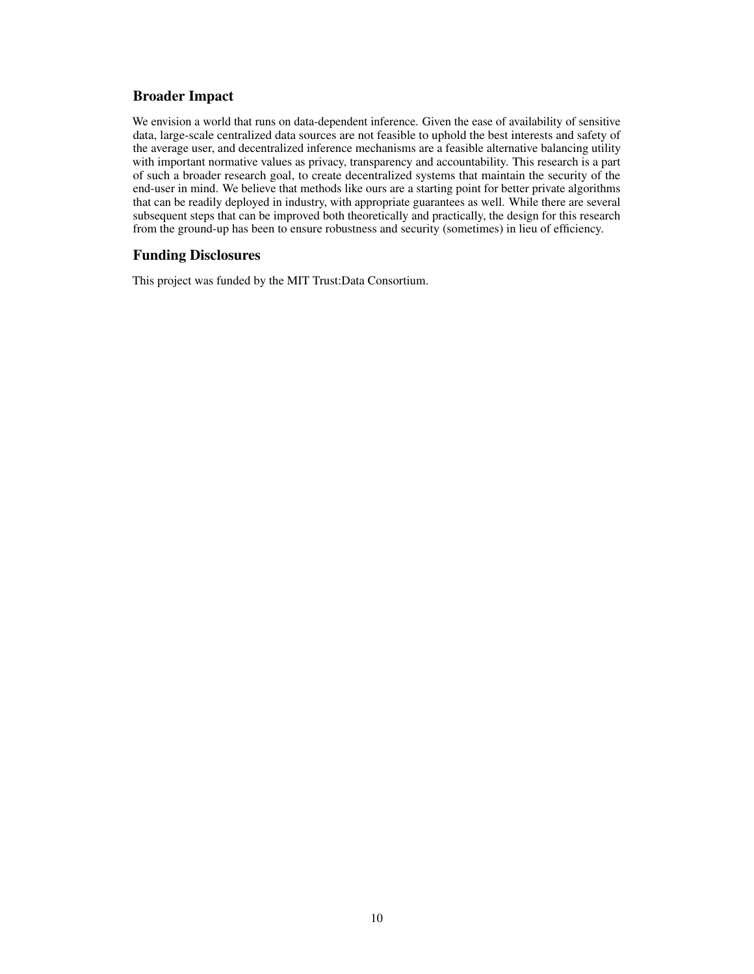# Broader Impact

We envision a world that runs on data-dependent inference. Given the ease of availability of sensitive data, large-scale centralized data sources are not feasible to uphold the best interests and safety of the average user, and decentralized inference mechanisms are a feasible alternative balancing utility with important normative values as privacy, transparency and accountability. This research is a part of such a broader research goal, to create decentralized systems that maintain the security of the end-user in mind. We believe that methods like ours are a starting point for better private algorithms that can be readily deployed in industry, with appropriate guarantees as well. While there are several subsequent steps that can be improved both theoretically and practically, the design for this research from the ground-up has been to ensure robustness and security (sometimes) in lieu of efficiency.

# Funding Disclosures

This project was funded by the MIT Trust:Data Consortium.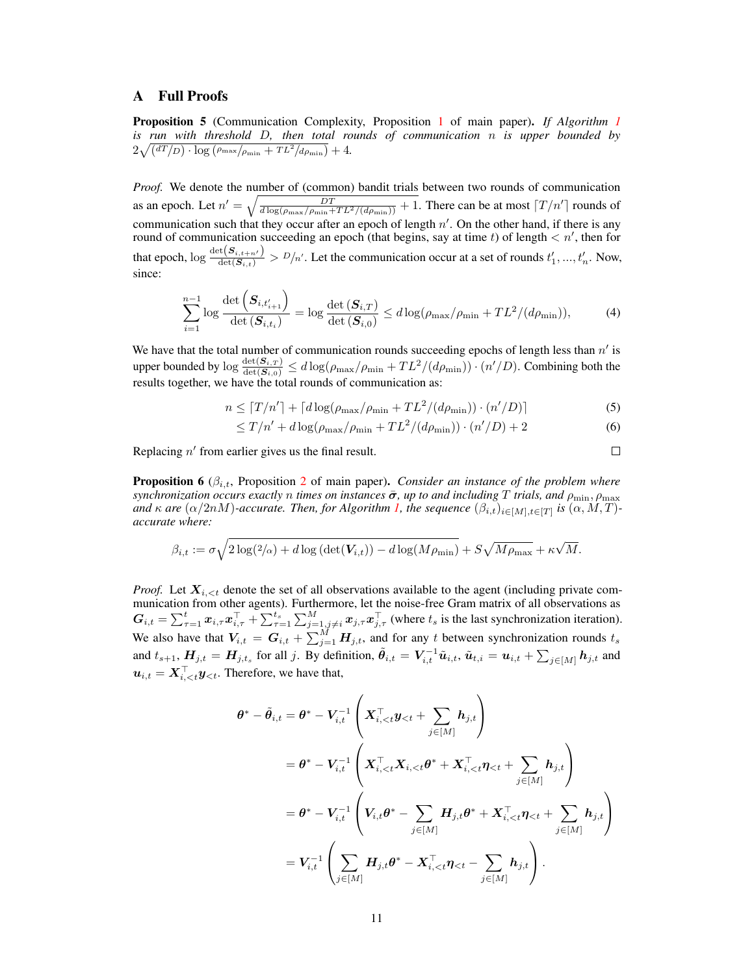# A Full Proofs

Proposition 5 (Communication Complexity, Proposition [1](#page-4-0) of main paper). *If Algorithm [1](#page-3-0) is run with threshold* D*, then total rounds of communication* n *is upper bounded by*  $2\sqrt{\left(dT/D\right)\cdot\log\left(\rho_{\max}/\rho_{\min} + TL^2/d\rho_{\min}\right)} + 4.$ 

*Proof.* We denote the number of (common) bandit trials between two rounds of communication as an epoch. Let  $n' = \sqrt{\frac{DT}{d \log(\rho_{\max}/\rho_{\min} + TL^2/(d\rho_{\min}))} + 1}$ . There can be at most  $\lceil T/n' \rceil$  rounds of communication such that they occur after an epoch of length  $n'$ . On the other hand, if there is any round of communication succeeding an epoch (that begins, say at time t) of length  $\lt n'$ , then for that epoch,  $\log \frac{\det(S_{i,t+n'})}{\det(S_{i,t})} > D/n'$ . Let the communication occur at a set of rounds  $t'_1, ..., t'_n$ . Now, since:

$$
\sum_{i=1}^{n-1} \log \frac{\det\left(\mathbf{S}_{i,t'_{i+1}}\right)}{\det\left(\mathbf{S}_{i,t_i}\right)} = \log \frac{\det\left(\mathbf{S}_{i,T}\right)}{\det\left(\mathbf{S}_{i,0}\right)} \le d \log(\rho_{\max}/\rho_{\min} + TL^2/(d\rho_{\min})),\tag{4}
$$

We have that the total number of communication rounds succeeding epochs of length less than  $n'$  is upper bounded by  $\log \frac{\det(S_{i,T})}{\det(S_{i,0})} \leq d \log(\rho_{\max}/\rho_{\min} + TL^2/(d\rho_{\min})) \cdot (n'/D)$ . Combining both the results together, we have the total rounds of communication as:

$$
n \leq \lceil T/n' \rceil + \lceil d \log(\rho_{\text{max}}/\rho_{\text{min}} + TL^2/(d\rho_{\text{min}})) \cdot (n'/D) \rceil \tag{5}
$$

$$
\leq T/n' + d\log(\rho_{\max}/\rho_{\min} + TL^2/(d\rho_{\min})) \cdot (n'/D) + 2 \tag{6}
$$

 $\Box$ 

Replacing  $n'$  from earlier gives us the final result.

**Proposition 6** ( $\beta_{i,t}$ , Proposition [2](#page-5-0) of main paper). *Consider an instance of the problem where*  $s$ ynchronization occurs exactly n times on instances  $\bar{\sigma}$ , up to and including T trials, and  $\rho_{\min}$ ,  $\rho_{\max}$ *and*  $\kappa$  *are* ( $\alpha/2nM$ )-accurate. Then, for Algorithm [1,](#page-3-0) the sequence  $(\beta_{i,t})_{i\in[M],t\in[T]}$  is  $(\alpha, M, T)$ *accurate where:*

$$
\beta_{i,t} := \sigma \sqrt{2 \log(2/\alpha) + d \log \left( \det(\mathbf{V}_{i,t}) \right) - d \log(M\rho_{\min})} + S\sqrt{M\rho_{\max}} + \kappa \sqrt{M}.
$$

*Proof.* Let  $X_{i \le t}$  denote the set of all observations available to the agent (including private communication from other agents). Furthermore, let the noise-free Gram matrix of all observations as  $G_{i,t} = \sum_{\tau=1}^t x_{i,\tau} x_{i,\tau}^\top + \sum_{\tau=1}^{t_s} \sum_{j=1, j\neq i}^M x_{j,\tau} x_{j,\tau}^\top$  (where  $t_s$  is the last synchronization iteration). We also have that  $V_{i,t} = G_{i,t} + \sum_{j=1}^{M} H_{j,t}$ , and for any t between synchronization rounds  $t_s$ and  $t_{s+1}$ ,  $H_{j,t} = H_{j,t_s}$  for all j. By definition,  $\tilde{\theta}_{i,t} = V_{i,t}^{-1} \tilde{u}_{i,t}$ ,  $\tilde{u}_{t,i} = u_{i,t} + \sum_{j \in [M]} h_{j,t}$  and  $u_{i,t} = X_{i,. Therefore, we have that,$ 

$$
\begin{aligned} \boldsymbol{\theta}^* - \tilde{\boldsymbol{\theta}}_{i,t} &= \boldsymbol{\theta}^* - \boldsymbol{V}_{i,t}^{-1} \left( \boldsymbol{X}_{i,
$$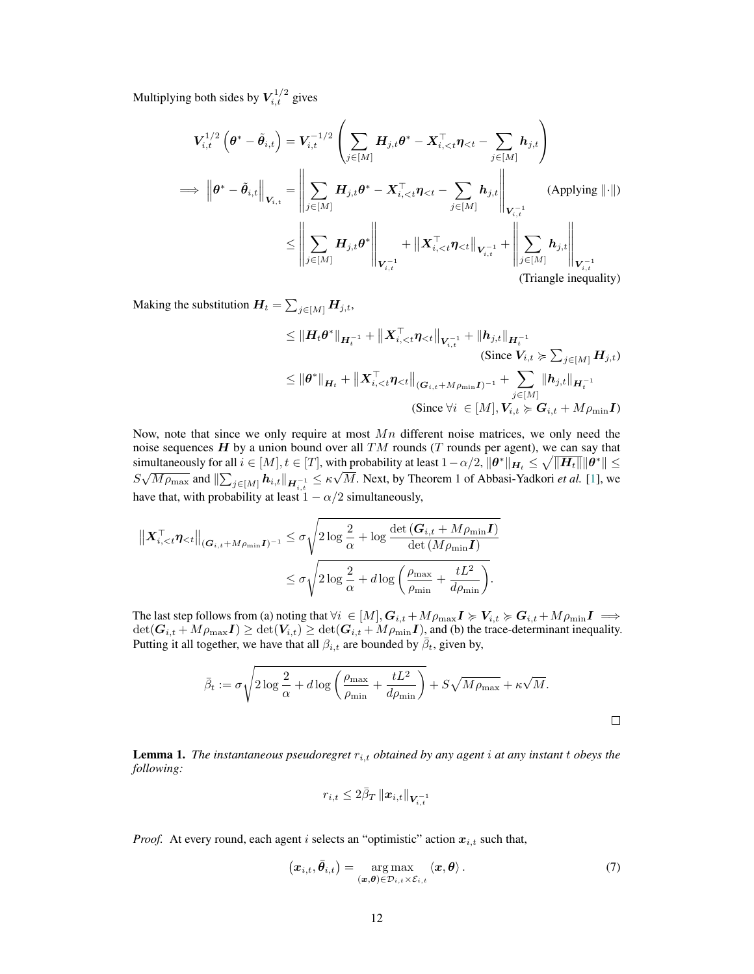Multiplying both sides by  $V_{i,t}^{1/2}$  gives

$$
V_{i,t}^{1/2} \left( \theta^* - \tilde{\theta}_{i,t} \right) = V_{i,t}^{-1/2} \left( \sum_{j \in [M]} H_{j,t} \theta^* - X_{i,  
\n
$$
\implies \left\| \theta^* - \tilde{\theta}_{i,t} \right\|_{V_{i,t}} = \left\| \sum_{j \in [M]} H_{j,t} \theta^* - X_{i,  
\n
$$
\leq \left\| \sum_{j \in [M]} H_{j,t} \theta^* \right\|_{V_{i,t}^{-1}} + \left\| X_{i,
$$
$$
$$

Making the substitution  $H_t = \sum_{j \in [M]} H_{j,t}$ ,

$$
\leq \|H_t \theta^*\|_{H_t^{-1}} + \|X_{i,  
\n(Since  $V_{i,t} \geq \sum_{j \in [M]} H_{j,t}$ )  
\n
$$
\leq \|\theta^*\|_{H_t} + \|X_{i,  
\n(Since  $\forall i \in [M], V_{i,t} \geq G_{i,t} + M\rho_{\min}I$ )
$$
$$

Now, note that since we only require at most  $Mn$  different noise matrices, we only need the noise sequences  $H$  by a union bound over all  $TM$  rounds (T rounds per agent), we can say that simultaneously for all  $i \in [M], t \in [T]$ , with probability at least  $1 - \alpha/2$ ,  $\|\theta^*\|_{H_t} \le \sqrt{\|H_t\|} \|\theta^*\| \le$ Solutional Exercise y for an  $i \in [M], i \in [T],$  with probability at least  $I = \alpha/2$ ,  $\|\mathbf{v}\|_{H_t} \leq \sqrt{\|\mathbf{H}t\|} \|\mathbf{v}\| \leq S\sqrt{M\rho_{\max}}$  and  $\|\sum_{j\in[M]} h_{i,t}\|_{H_{i,t}^{-1}} \leq \kappa \sqrt{M}$ . Next, by Theorem 1 of Abbasi-Yadkori *et al.* have that, with probability at least  $1 - \alpha/2$  simultaneously,

$$
\begin{aligned} \left\| \boldsymbol{X}_{i,
$$

The last step follows from (a) noting that  $\forall i \in [M],$   $G_{i,t}$  +  $M\rho_{\max} I \ge V_{i,t} \ge G_{i,t}$  +  $M\rho_{\min} I \implies$  $\det(G_{i,t} + M\rho_{\max}I) \ge \det(V_{i,t}) \ge \det(G_{i,t} + M\rho_{\min}I)$ , and (b) the trace-determinant inequality. Putting it all together, we have that all  $\beta_{i,t}$  are bounded by  $\bar{\beta}_t$ , given by,

$$
\bar{\beta}_t := \sigma \sqrt{2 \log \frac{2}{\alpha} + d \log \left( \frac{\rho_{\max}}{\rho_{\min}} + \frac{tL^2}{d\rho_{\min}} \right)} + S\sqrt{M\rho_{\max}} + \kappa\sqrt{M}.
$$

<span id="page-11-0"></span>**Lemma 1.** The instantaneous pseudoregret  $r_{i,t}$  obtained by any agent i at any instant t obeys the *following:*

$$
r_{i,t} \leq 2\bar{\beta}_{T}\left\|\boldsymbol{x}_{i,t}\right\|_{\boldsymbol{V}_{i,t}^{-1}}
$$

*Proof.* At every round, each agent i selects an "optimistic" action  $x_{i,t}$  such that,

$$
(\boldsymbol{x}_{i,t}, \bar{\boldsymbol{\theta}}_{i,t}) = \underset{(\boldsymbol{x}, \boldsymbol{\theta}) \in \mathcal{D}_{i,t} \times \mathcal{E}_{i,t}}{\arg \max} \langle \boldsymbol{x}, \boldsymbol{\theta} \rangle. \tag{7}
$$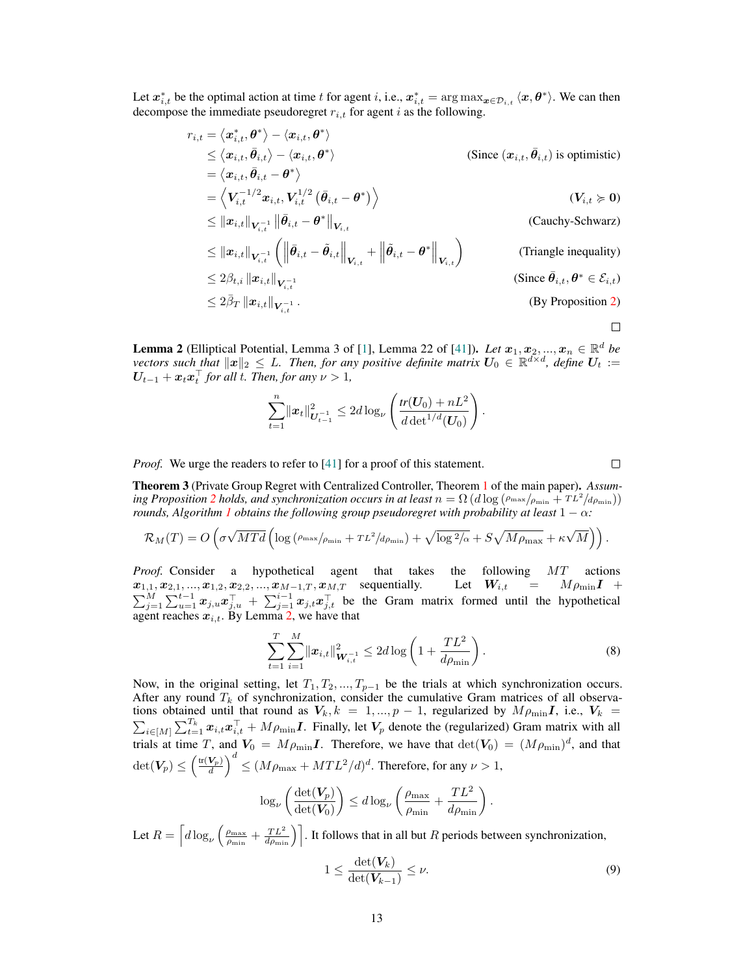Let  $x_{i,t}^*$  be the optimal action at time t for agent i, i.e.,  $x_{i,t}^* = \arg \max_{x \in \mathcal{D}_{i,t}} \langle x, \theta^* \rangle$ . We can then decompose the immediate pseudoregret  $r_{i,t}$  for agent i as the following.

$$
r_{i,t} = \langle x_{i,t}^*, \theta^* \rangle - \langle x_{i,t}, \theta^* \rangle
$$
  
\n
$$
\leq \langle x_{i,t}, \bar{\theta}_{i,t} \rangle - \langle x_{i,t}, \theta^* \rangle
$$
  
\n
$$
= \langle x_{i,t}, \bar{\theta}_{i,t} - \theta^* \rangle
$$
  
\n
$$
= \langle V_{i,t}^{-1/2} x_{i,t}, V_{i,t}^{1/2} (\bar{\theta}_{i,t} - \theta^*) \rangle
$$
  
\n
$$
\leq ||x_{i,t}||_{V_{i,t}^{-1}} ||\bar{\theta}_{i,t} - \theta^*||_{V_{i,t}}
$$
  
\n
$$
\leq ||x_{i,t}||_{V_{i,t}^{-1}} (||\bar{\theta}_{i,t} - \tilde{\theta}_{i,t}||_{V_{i,t}} + ||\tilde{\theta}_{i,t} - \theta^*||_{V_{i,t}})
$$
  
\n
$$
\leq 2\beta_{t,i} ||x_{i,t}||_{V_{i,t}^{-1}}
$$
  
\n
$$
\leq 2\bar{\beta}_T ||x_{i,t}||_{V_{i,t}^{-1}}
$$
  
\n(Since  $\bar{\theta}_{i,t}, \theta^* \in \mathcal{E}_{i,t}$ )  
\n(Since  $\bar{\theta}_{i,t}, \theta^* \in \mathcal{E}_{i,t}$ )  
\n(Since  $\bar{\theta}_{i,t}, \theta^* \in \mathcal{E}_{i,t}$ )  
\n(Since 2 $\bar{\beta}_T ||x_{i,t}||_{V_{i,t}^{-1}}$   
\n(Since 2 $\bar{\beta}_T ||x_{i,t}||_{V_{i,t}^{-1}}$   
\n(Since 2 $\bar{\beta}_T ||x_{i,t}||_{V_{i,t}^{-1}}$   
\n(Since 2 $\bar{\beta}_T ||x_{i,t}||_{V_{i,t}^{-1}}$   
\n(Sine 2)

 $\Box$ 

<span id="page-12-0"></span>**Lemma 2** (Elliptical Potential, Lemma 3 of [\[1\]](#page-19-8), Lemma 22 of [\[41\]](#page-20-7)). *Let*  $x_1, x_2, ..., x_n \in \mathbb{R}^d$  *be vectors such that*  $||x||_2 \leq L$ . Then, for any positive definite matrix  $U_0 \in \mathbb{R}^{d \times d}$ , define  $U_t :=$  $U_{t-1} + x_t x_t^{\top}$  for all t. Then, for any  $\nu > 1$ ,

$$
\sum_{t=1}^n \|\boldsymbol{x}_t\|_{\boldsymbol{U}_{t-1}^{-1}}^2 \leq 2d \log_{\nu} \left( \frac{tr(\boldsymbol{U}_0) + nL^2}{d \det^{1/d}(\boldsymbol{U}_0)} \right).
$$

*Proof.* We urge the readers to refer to [\[41\]](#page-20-7) for a proof of this statement.

 $\Box$ 

Theorem 3 (Private Group Regret with Centralized Controller, Theorem [1](#page-5-1) of the main paper). *Assum-ing Proposition [2](#page-5-0) holds, and synchronization occurs in at least*  $n = \Omega(d \log(\rho_{\max}/\rho_{\min} + TL^2/d\rho_{\min}))$ *rounds, Algorithm [1](#page-3-0) obtains the following group pseudoregret with probability at least*  $1 - \alpha$ *:* 

$$
\mathcal{R}_M(T) = O\left(\sigma\sqrt{MTd}\left(\log\left(\rho_{\max}/\rho_{\min} + TL^2/d\rho_{\min}\right) + \sqrt{\log^2/\alpha} + S\sqrt{M\rho_{\max}} + \kappa\sqrt{M}\right)\right).
$$

*Proof.* Consider a hypothetical agent that takes the following MT actions  $x_{1,1}, x_{2,1}, ..., x_{1,2}, x_{2,2}, ..., x_{M-1,T}, x_{M,T}$  sequentially. Let  $W_{i,t} = M \rho_{\min} I +$  $\sum_{j=1}^M \sum_{u=1}^{t-1} x_{j,u} x_{j,u}^{\top} + \sum_{j=1}^{i-1} x_{j,t} x_{j,t}^{\top}$  be the Gram matrix formed until the hypothetical agent reaches  $x_{i,t}$ . By Lemma [2,](#page-12-0) we have that

$$
\sum_{t=1}^{T} \sum_{i=1}^{M} ||x_{i,t}||_{\mathbf{W}_{i,t}^{-1}}^2 \le 2d \log \left( 1 + \frac{T L^2}{d \rho_{\min}} \right).
$$
 (8)

Now, in the original setting, let  $T_1, T_2, ..., T_{p-1}$  be the trials at which synchronization occurs. After any round  $T_k$  of synchronization, consider the cumulative Gram matrices of all observations obtained until that round as  $V_k$ ,  $k = 1, ..., p - 1$ , regularized by  $M \rho_{\min} I$ , i.e.,  $V_k =$  $\sum_{i\in[M]}\sum_{t=1}^{T_k} x_{i,t}x_{i,t}^{\top} + Mp_{\text{min}}I$ . Finally, let  $V_p$  denote the (regularized) Gram matrix with all trials at time T, and  $V_0 = M \rho_{\min} I$ . Therefore, we have that  $\det(V_0) = (M \rho_{\min})^d$ , and that  $\det(\boldsymbol{V_p}) \leq \left(\frac{\text{tr}(\boldsymbol{V_p})}{d}\right)^d \leq (M\rho_{\text{max}}+MTL^2/d)^d.$  Therefore, for any  $\nu>1,$ 

$$
\log_{\nu} \left( \frac{\det(\boldsymbol{V}_{p})}{\det(\boldsymbol{V}_{0})} \right) \leq d \log_{\nu} \left( \frac{\rho_{\max}}{\rho_{\min}} + \frac{TL^2}{d\rho_{\min}} \right).
$$

Let  $R = \left[d\log_\nu\left(\frac{\rho_{\text{max}}}{\rho_{\text{min}}} + \frac{TL^2}{d\rho_{\text{min}}}\right)\right]$ . It follows that in all but R periods between synchronization,

<span id="page-12-1"></span>
$$
1 \leq \frac{\det(\boldsymbol{V}_k)}{\det(\boldsymbol{V}_{k-1})} \leq \nu.
$$
\n(9)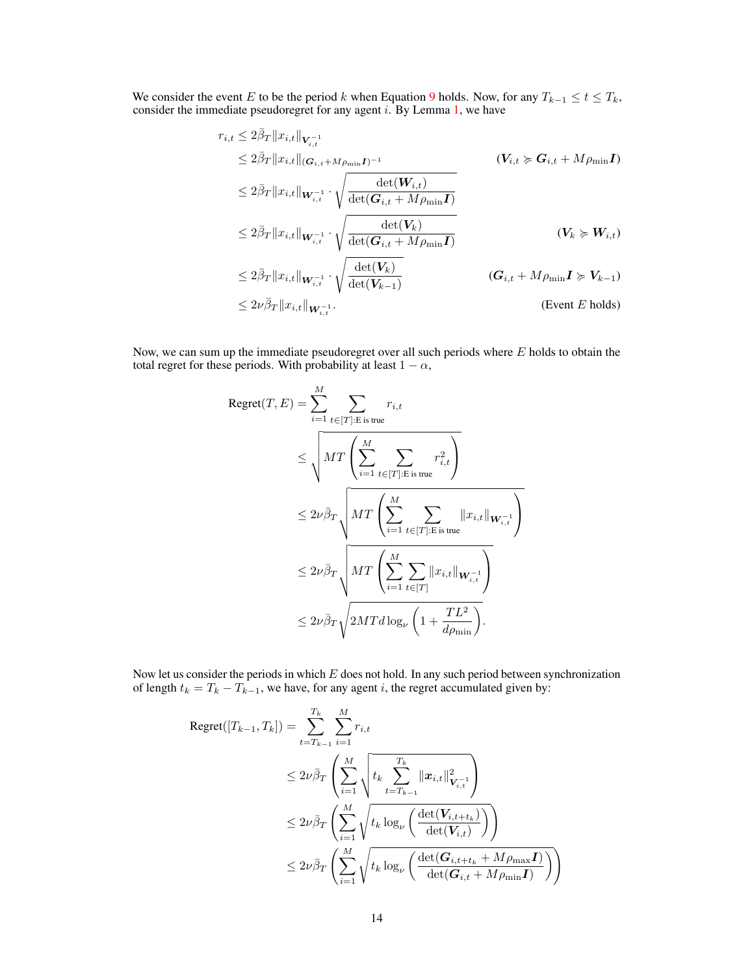We consider the event E to be the period k when Equation [9](#page-12-1) holds. Now, for any  $T_{k-1} \le t \le T_k$ , consider the immediate pseudoregret for any agent  $i$ . By Lemma [1,](#page-11-0) we have

$$
r_{i,t} \leq 2\overline{\beta}_{T} \|x_{i,t}\|_{\mathbf{V}_{i,t}^{-1}} \n\leq 2\overline{\beta}_{T} \|x_{i,t}\|_{(\mathbf{G}_{i,t} + M\rho_{\min} \mathbf{I})^{-1}} \qquad (V_{i,t} \succcurlyeq \mathbf{G}_{i,t} + M\rho_{\min} \mathbf{I}) \n\leq 2\overline{\beta}_{T} \|x_{i,t}\|_{\mathbf{W}_{i,t}^{-1}} \cdot \sqrt{\frac{\det(\mathbf{W}_{i,t})}{\det(\mathbf{G}_{i,t} + M\rho_{\min} \mathbf{I})}} \n\leq 2\overline{\beta}_{T} \|x_{i,t}\|_{\mathbf{W}_{i,t}^{-1}} \cdot \sqrt{\frac{\det(\mathbf{V}_{k})}{\det(\mathbf{G}_{i,t} + M\rho_{\min} \mathbf{I})}} \qquad (V_{k} \succcurlyeq \mathbf{W}_{i,t}) \n\leq 2\overline{\beta}_{T} \|x_{i,t}\|_{\mathbf{W}_{i,t}^{-1}} \cdot \sqrt{\frac{\det(\mathbf{V}_{k})}{\det(\mathbf{V}_{k-1})}} \qquad (G_{i,t} + M\rho_{\min} \mathbf{I} \succcurlyeq \mathbf{V}_{k-1}) \n\leq 2\nu \overline{\beta}_{T} \|x_{i,t}\|_{\mathbf{W}_{i,t}^{-1}} \qquad \qquad \text{(Event } E \text{ holds})
$$

Now, we can sum up the immediate pseudoregret over all such periods where  $E$  holds to obtain the total regret for these periods. With probability at least  $1 - \alpha$ ,

$$
\begin{split} \text{Regret}(T, E) &= \sum_{i=1}^{M} \sum_{t \in [T]: \text{E is true}} r_{i, t} \\ &\leq \sqrt{MT \left( \sum_{i=1}^{M} \sum_{t \in [T]: \text{E is true}} r_{i, t}^2 \right)} \\ &\leq 2\nu \bar{\beta}_T \sqrt{MT \left( \sum_{i=1}^{M} \sum_{t \in [T]: \text{E is true}} ||x_{i, t}||_{\mathbf{W}_{i, t}^{-1}} \right)} \\ &\leq 2\nu \bar{\beta}_T \sqrt{MT \left( \sum_{i=1}^{M} \sum_{t \in [T]} ||x_{i, t}||_{\mathbf{W}_{i, t}^{-1}} \right)} \\ &\leq 2\nu \bar{\beta}_T \sqrt{2MT d \log_{\nu} \left( 1 + \frac{TL^2}{d \rho_{\min}} \right)}. \end{split}
$$

Now let us consider the periods in which  $E$  does not hold. In any such period between synchronization of length  $t_k = T_k - T_{k-1}$ , we have, for any agent *i*, the regret accumulated given by:

$$
\begin{aligned} \text{Regret}([T_{k-1},T_k])&=\sum_{t=T_{k-1}}^{T_k}\sum_{i=1}^Mr_{i,t}\\&\leq 2\nu\bar{\beta}_T\left(\sum_{i=1}^M\sqrt{t_k\sum_{t=T_{k-1}}^{T_k}\|\boldsymbol{x}_{i,t}\|_{\boldsymbol{V}_{i,t}^{-1}}^2}\right)\\&\leq 2\nu\bar{\beta}_T\left(\sum_{i=1}^M\sqrt{t_k\log_{\nu}\left(\frac{\det(\boldsymbol{V}_{i,t+t_k})}{\det(\boldsymbol{V}_{i,t})}\right)}\right)\\&\leq 2\nu\bar{\beta}_T\left(\sum_{i=1}^M\sqrt{t_k\log_{\nu}\left(\frac{\det(\boldsymbol{G}_{i,t+t_k}+M\rho_{\max}\boldsymbol{I})}{\det(\boldsymbol{G}_{i,t}+M\rho_{\min}\boldsymbol{I})}\right)}\right)\end{aligned}
$$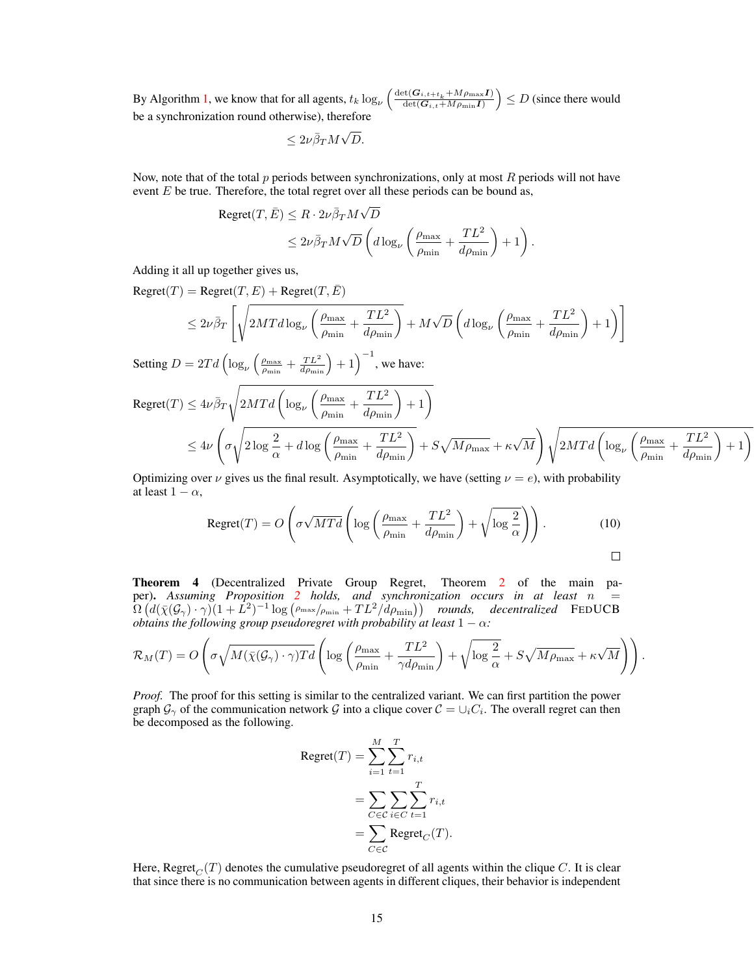By Algorithm [1,](#page-3-0) we know that for all agents,  $t_k \log_{\nu} \left( \frac{\det(G_{i,t+t_k} + Mp_{\max}I)}{\det(G_{i,t} + Mp_{\min}I)} \right) \le D$  (since there would be a synchronization round otherwise), therefore

$$
\leq 2\nu \bar{\beta}_T M \sqrt{D}.
$$

Now, note that of the total  $p$  periods between synchronizations, only at most  $R$  periods will not have event  $E$  be true. Therefore, the total regret over all these periods can be bound as,

$$
\begin{aligned} \text{Regret}(T, \bar{E}) &\leq R \cdot 2\nu \bar{\beta}_T M \sqrt{D} \\ &\leq 2\nu \bar{\beta}_T M \sqrt{D} \left( d \log_{\nu} \left( \frac{\rho_{\text{max}}}{\rho_{\text{min}}} + \frac{TL^2}{d \rho_{\text{min}}} \right) + 1 \right). \end{aligned}
$$

Adding it all up together gives us,

 $Regret(T) = Regret(T, E) + Regret(T, \overline{E})$ 

$$
\leq 2\nu\bar{\beta}_T\left[\sqrt{2MTd\log_{\nu}\left(\frac{\rho_{\max}}{\rho_{\min}}+\frac{TL^2}{d\rho_{\min}}\right)}+M\sqrt{D}\left(d\log_{\nu}\left(\frac{\rho_{\max}}{\rho_{\min}}+\frac{TL^2}{d\rho_{\min}}\right)+1\right)\right]
$$

Setting  $D = 2Td\left(\log_{\nu}\left(\frac{\rho_{\text{max}}}{\rho_{\text{min}}} + \frac{TL^2}{d\rho_{\text{min}}}\right) + 1\right)^{-1}$ , we have:

$$
Regret(T) \le 4\nu\bar{\beta}_T \sqrt{2MTd\left(\log_{\nu}\left(\frac{\rho_{\max}}{\rho_{\min}} + \frac{TL^2}{d\rho_{\min}}\right) + 1\right)}
$$
  

$$
\le 4\nu \left(\sigma \sqrt{2\log\frac{2}{\alpha} + d\log\left(\frac{\rho_{\max}}{\rho_{\min}} + \frac{TL^2}{d\rho_{\min}}\right)} + S\sqrt{M\rho_{\max}} + \kappa\sqrt{M}\right) \sqrt{2MTd\left(\log_{\nu}\left(\frac{\rho_{\max}}{\rho_{\min}} + \frac{TL^2}{d\rho_{\min}}\right) + 1\right)}
$$

Optimizing over  $\nu$  gives us the final result. Asymptotically, we have (setting  $\nu = e$ ), with probability at least  $1 - \alpha$ ,

$$
\text{Regret}(T) = O\left(\sigma\sqrt{MTd}\left(\log\left(\frac{\rho_{\max}}{\rho_{\min}} + \frac{TL^2}{d\rho_{\min}}\right) + \sqrt{\log\frac{2}{\alpha}}\right)\right). \tag{10}
$$

Theorem 4 (Decentralized Private Group Regret, Theorem [2](#page-6-2) of the main paper). *Assuming Proposition [2](#page-5-0) holds, and synchronization occurs in at least* n =  $\Omega\left(d(\bar{\chi}(\mathcal{G}_{\gamma})\cdot\gamma)(1+\tilde{L}^2)^{-1}\log\left(\rho_{\max}/\rho_{\min}+TL^2/\tilde{d}\rho_{\min}\right)\right)$  rounds, decentralized FEDUCB *obtains the following group pseudoregret with probability at least*  $1 - \alpha$ *:* 

$$
\mathcal{R}_M(T) = O\left(\sigma\sqrt{M(\bar{\chi}(\mathcal{G}_{\gamma}) \cdot \gamma)Td}\left(\log\left(\frac{\rho_{\max}}{\rho_{\min}} + \frac{TL^2}{\gamma d\rho_{\min}}\right) + \sqrt{\log\frac{2}{\alpha}} + S\sqrt{M\rho_{\max}} + \kappa\sqrt{M}\right)\right).
$$

*Proof.* The proof for this setting is similar to the centralized variant. We can first partition the power graph  $\mathcal{G}_{\gamma}$  of the communication network  $\mathcal{G}$  into a clique cover  $\mathcal{C} = \cup_i C_i$ . The overall regret can then be decomposed as the following.

$$
Regret(T) = \sum_{i=1}^{M} \sum_{t=1}^{T} r_{i,t}
$$

$$
= \sum_{C \in \mathcal{C}} \sum_{i \in C} \sum_{t=1}^{T} r_{i,t}
$$

$$
= \sum_{C \in \mathcal{C}} Regret_C(T).
$$

Here, Regret<sub>C</sub>(T) denotes the cumulative pseudoregret of all agents within the clique C. It is clear that since there is no communication between agents in different cliques, their behavior is independent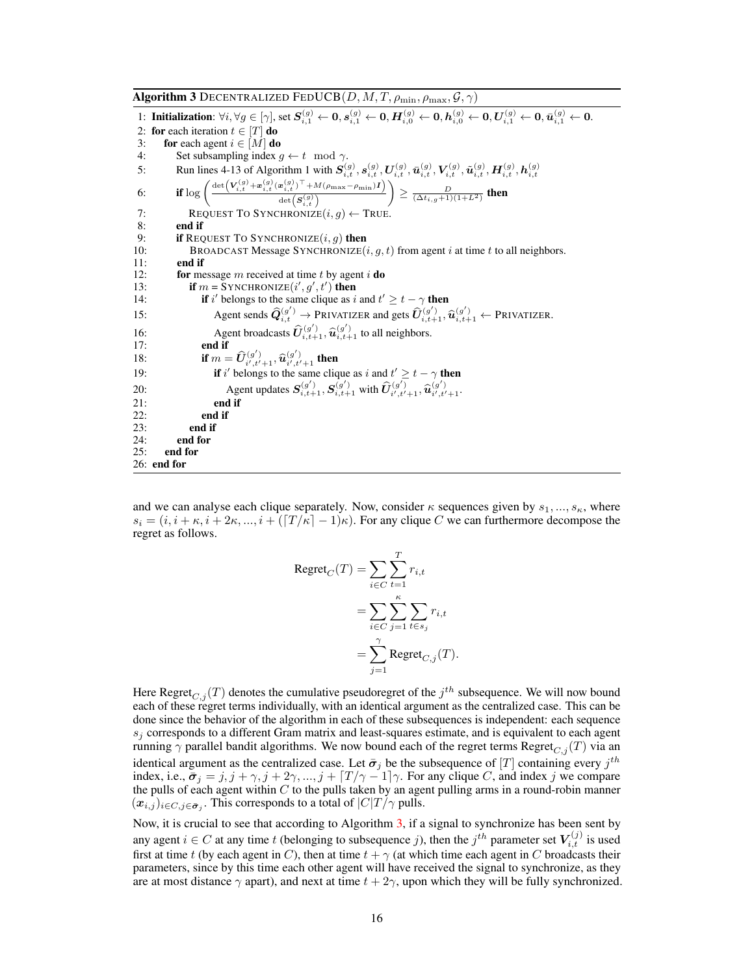<span id="page-15-0"></span>Algorithm 3 Decentralized FedUCB $(D, M, T, \rho_{\min}, \rho_{\max}, \mathcal{G}, \gamma)$ 1: Initialization:  $\forall i, \forall g \in [\gamma],$  set  $S_{i,1}^{(g)} \leftarrow 0, s_{i,1}^{(g)} \leftarrow 0, H_{i,0}^{(g)} \leftarrow 0, h_{i,0}^{(g)} \leftarrow 0, U_{i,1}^{(g)} \leftarrow 0, \bar{u}_{i,1}^{(g)} \leftarrow 0$ . 2: for each iteration  $t \in [T]$  do 3: for each agent  $i \in [M]$  do 4: Set subsampling index  $g \leftarrow t \mod \gamma$ . 5: Run lines 4-13 of Algorithm 1 with  $S_{i,t}^{(g)}$ ,  $S_{i,t}^{(g)}$ ,  $U_{i,t}^{(g)}$ ,  $\bar{u}_{i,t}^{(g)}$ ,  $V_{i,t}^{(g)}$ ,  $\bar{u}_{i,t}^{(g)}$ ,  $H_{i,t}^{(g)}$ ,  $h_{i,t}^{(g)}$ <br>6: **if**  $\log \left( \frac{\det (V_{i,t}^{(g)} + \bar{u}_{i,t}^{(g)} (\bar{u}_{i,t}^{(g)})^{\top} + M(\rho_{\max} - \rho_{\min})I)}$  $\det\!\left(\boldsymbol{S}^{\left(g\right)}_{i,t}\right)$  $\left\langle \right\rangle \geq\frac{D}{(\Delta t_{i,g}+1)(1+L^{2})}$  then 7: REQUEST TO SYNCHRONIZE $(i, g) \leftarrow$  True. 8: **end if**  $9$ : **if**  $\text{Rec}$ 9: **if REQUEST TO SYNCHRONIZE** $(i, g)$  then<br>10: **BROADCAST Message SYNCHRONIZE** $(i, g)$ BROADCAST Message SYNCHRONIZE $(i, g, t)$  from agent i at time t to all neighbors. 11: end if 12: **for** message m received at time t by agent i **do** 13: if  $m = \text{SYNCHRONIZE}(i', g', t')$  then 14: **if** i' belongs to the same clique as i and  $t' \geq t - \gamma$  then 15: Agent sends  $\hat{Q}_{i,t}^{(g')} \rightarrow \text{PRIVATIZER}$  and gets  $\hat{U}_{i,t+1}^{(g')}$ ,  $\hat{u}_{i,t+1}^{(g')} \leftarrow \text{PRIVATIZER}$ . 16: Agent broadcasts  $\hat{U}_{i,t+1}^{(g')}$ ,  $\hat{u}_{i,t+1}^{(g')}$  to all neighbors. 17: end if 18: **if**  $m = \hat{U}_{i',t'+1}^{(g')}$ ,  $\hat{u}_{i',t'+1}^{(g')}$  then 19: **if** i' belongs to the same clique as i and  $t' \geq t - \gamma$  then 20:<br>
Agent updates  $S_{i,t+1}^{(g')}$ ,  $S_{i,t+1}^{(g')}$  with  $\hat{U}_{i',t'+1}^{(g')}$ ,  $\hat{u}_{i',t'+1}^{(g')}$ 21: end if 22: end if  $23:$  end if  $24:$  end for 24: end for<br>25: end for end for 26: end for

and we can analyse each clique separately. Now, consider  $\kappa$  sequences given by  $s_1, ..., s_\kappa$ , where  $s_i = (i, i + \kappa, i + 2\kappa, ..., i + (\lfloor T/\kappa \rfloor - 1)\kappa)$ . For any clique C we can furthermore decompose the regret as follows.

$$
Regret_C(T) = \sum_{i \in C} \sum_{t=1}^T r_{i,t}
$$

$$
= \sum_{i \in C} \sum_{j=1}^\kappa \sum_{t \in s_j} r_{i,t}
$$

$$
= \sum_{j=1}^\gamma Regret_{C,j}(T).
$$

Here Regret $_{C,j}(T)$  denotes the cumulative pseudoregret of the  $j^{th}$  subsequence. We will now bound each of these regret terms individually, with an identical argument as the centralized case. This can be done since the behavior of the algorithm in each of these subsequences is independent: each sequence  $s_i$  corresponds to a different Gram matrix and least-squares estimate, and is equivalent to each agent running  $\gamma$  parallel bandit algorithms. We now bound each of the regret terms Regret $_{C,i}(T)$  via an identical argument as the centralized case. Let  $\bar{\sigma}_j$  be the subsequence of  $[T]$  containing every  $j^{th}$ index, i.e.,  $\bar{\sigma}_j = j, j + \gamma, j + 2\gamma, ..., j + \lceil T/\gamma - 1 \rceil \gamma$ . For any clique C, and index j we compare the pulls of each agent within  $C$  to the pulls taken by an agent pulling arms in a round-robin manner  $(x_{i,j})_{i \in C, j \in \bar{\sigma}_j}$ . This corresponds to a total of  $|C|T/\gamma$  pulls.

Now, it is crucial to see that according to Algorithm [3,](#page-15-0) if a signal to synchronize has been sent by any agent  $i \in C$  at any time t (belonging to subsequence j), then the  $j^{th}$  parameter set  $V_{i,t}^{(j)}$  is used first at time t (by each agent in C), then at time  $t + \gamma$  (at which time each agent in C broadcasts their parameters, since by this time each other agent will have received the signal to synchronize, as they are at most distance  $\gamma$  apart), and next at time  $t + 2\gamma$ , upon which they will be fully synchronized.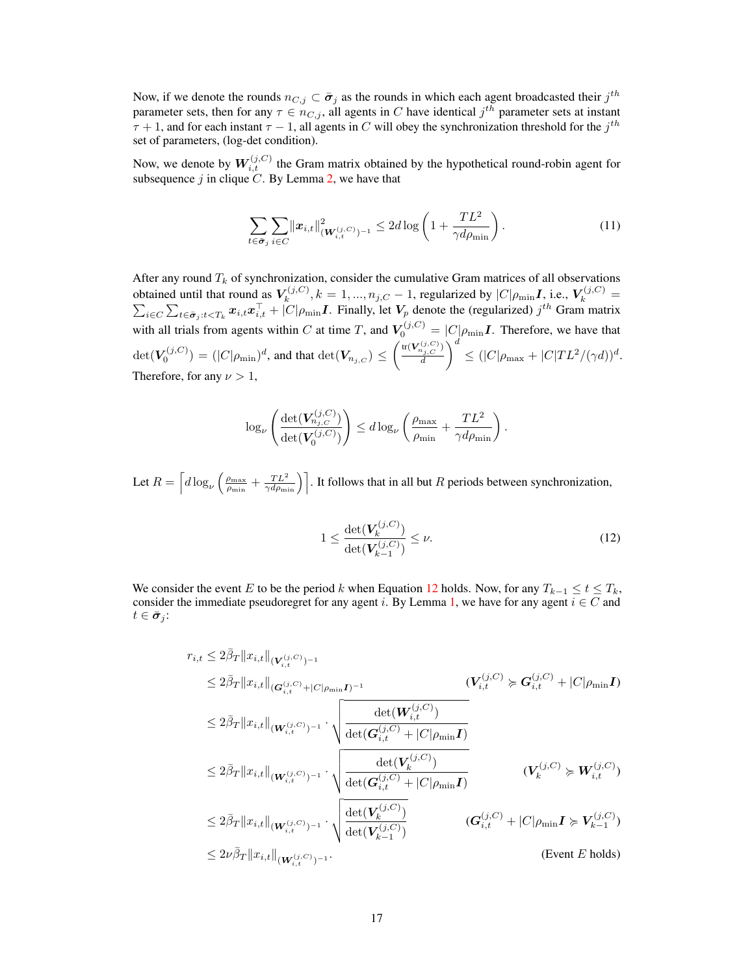Now, if we denote the rounds  $n_{C,j} \subset \bar{\sigma}_j$  as the rounds in which each agent broadcasted their  $j^{th}$ parameter sets, then for any  $\tau \in n_{C,j}$ , all agents in C have identical  $j^{th}$  parameter sets at instant  $\tau + 1$ , and for each instant  $\tau - 1$ , all agents in C will obey the synchronization threshold for the  $j^{th}$ set of parameters, (log-det condition).

Now, we denote by  $W_{i,t}^{(j,C)}$  the Gram matrix obtained by the hypothetical round-robin agent for subsequence  $j$  in clique  $C$ . By Lemma [2,](#page-12-0) we have that

$$
\sum_{t \in \bar{\sigma}_j} \sum_{i \in C} ||x_{i,t}||^2_{(W_{i,t}^{(j,C)})^{-1}} \le 2d \log \left(1 + \frac{TL^2}{\gamma d \rho_{\min}}\right).
$$
 (11)

After any round  $T_k$  of synchronization, consider the cumulative Gram matrices of all observations obtained until that round as  $V_k^{(j,C)}$  $k_k^{(j,C)}, k = 1, ..., n_{j,C} - 1$ , regularized by  $|C|\rho_{\min} I$ , i.e.,  $V_k^{(j,C)}$ P  $\frac{r^{(j,C)}}{k} =$  $\sum_{i \in C} \sum_{t \in \bar{\sigma}_j : t < T_k} x_{i,t} x_{i,t}^{\top} + |C|\rho_{\min} I$ . Finally, let  $V_p$  denote the (regularized)  $j^{th}$  Gram matrix with all trials from agents within C at time T, and  $V_0^{(j,C)} = |C|\rho_{\min}I$ . Therefore, we have that  $\det(\overline{V}_0^{(j,C)}) = (|C|\rho_{\min})^d,$  and that  $\det(\overline{V}_{n_{j,C}}) \leq \left(\frac{\operatorname{tr}(\overline{V}_{n_{j,C}}^{(j,C)})}{d}\right)$ d  $\Big)^d \leq (|C|\rho_{\text{max}} + |C|TL^2/(\gamma d))^d.$ Therefore, for any  $\nu > 1$ ,

$$
\log_{\nu}\left(\frac{\det(\mathbf{V}_{n_{j,C}}^{(j,C)})}{\det(\mathbf{V}_0^{(j,C)})}\right) \leq d \log_{\nu}\left(\frac{\rho_{\max}}{\rho_{\min}} + \frac{TL^2}{\gamma d\rho_{\min}}\right).
$$

Let  $R = \left[d\log_\nu\left(\frac{\rho_{\text{max}}}{\rho_{\text{min}}} + \frac{TL^2}{\gamma d \rho_{\text{min}}}\right)\right]$ . It follows that in all but R periods between synchronization,

<span id="page-16-0"></span>
$$
1 \le \frac{\det(V_k^{(j,C)})}{\det(V_{k-1}^{(j,C)})} \le \nu.
$$
\n(12)

We consider the event E to be the period k when Equation [12](#page-16-0) holds. Now, for any  $T_{k-1} \le t \le T_k$ , consider the immediate pseudoregret for any agent i. By Lemma [1,](#page-11-0) we have for any agent  $i \in C$  and  $t \in \bar{\sigma}_i$ :

$$
r_{i,t} \leq 2\bar{\beta}_{T} \|x_{i,t}\|_{(\mathbf{V}_{i,t}^{(j,C)})^{-1}} \n\leq 2\bar{\beta}_{T} \|x_{i,t}\|_{(\mathbf{G}_{i,t}^{(j,C)})^{-1}} \cdot \sqrt{\frac{\det(\mathbf{W}_{i,t}^{(j,C)})}{\det(\mathbf{G}_{i,t}^{(j,C)} + |C|\rho_{\min} \mathbf{I})}} \n\leq 2\bar{\beta}_{T} \|x_{i,t}\|_{(\mathbf{W}_{i,t}^{(j,C)})^{-1}} \cdot \sqrt{\frac{\det(\mathbf{W}_{i,t}^{(j,C)})}{\det(\mathbf{G}_{i,t}^{(j,C)} + |C|\rho_{\min} \mathbf{I})}} \n\leq 2\bar{\beta}_{T} \|x_{i,t}\|_{(\mathbf{W}_{i,t}^{(j,C)})^{-1}} \cdot \sqrt{\frac{\det(\mathbf{V}_{k}^{(j,C)})}{\det(\mathbf{G}_{i,t}^{(j,C)} + |C|\rho_{\min} \mathbf{I})}} \qquad (\mathbf{V}_{k}^{(j,C)} \succcurlyeq \mathbf{W}_{i,t}^{(j,C)}) \n\leq 2\bar{\beta}_{T} \|x_{i,t}\|_{(\mathbf{W}_{i,t}^{(j,C)})^{-1}} \cdot \sqrt{\frac{\det(\mathbf{V}_{k}^{(j,C)})}{\det(\mathbf{V}_{k-1}^{(j,C)})}} \qquad (\mathbf{G}_{i,t}^{(j,C)} + |C|\rho_{\min} \mathbf{I} \succcurlyeq \mathbf{V}_{k-1}^{(j,C)}) \n\leq 2\nu \bar{\beta}_{T} \|x_{i,t}\|_{(\mathbf{W}_{i,t}^{(j,C)})^{-1}} \cdot \sqrt{\frac{\det(\mathbf{V}_{k}^{(j,C)})}{\det(\mathbf{V}_{k-1}^{(j,C)})}} \qquad (\mathbf{G}_{i,t}^{(j,C)} + |C|\rho_{\min} \mathbf{I} \succcurlyeq \mathbf{V}_{k-1}^{(j,C)}) \n\qquad \qquad \text{(Event } E \text{ holds})
$$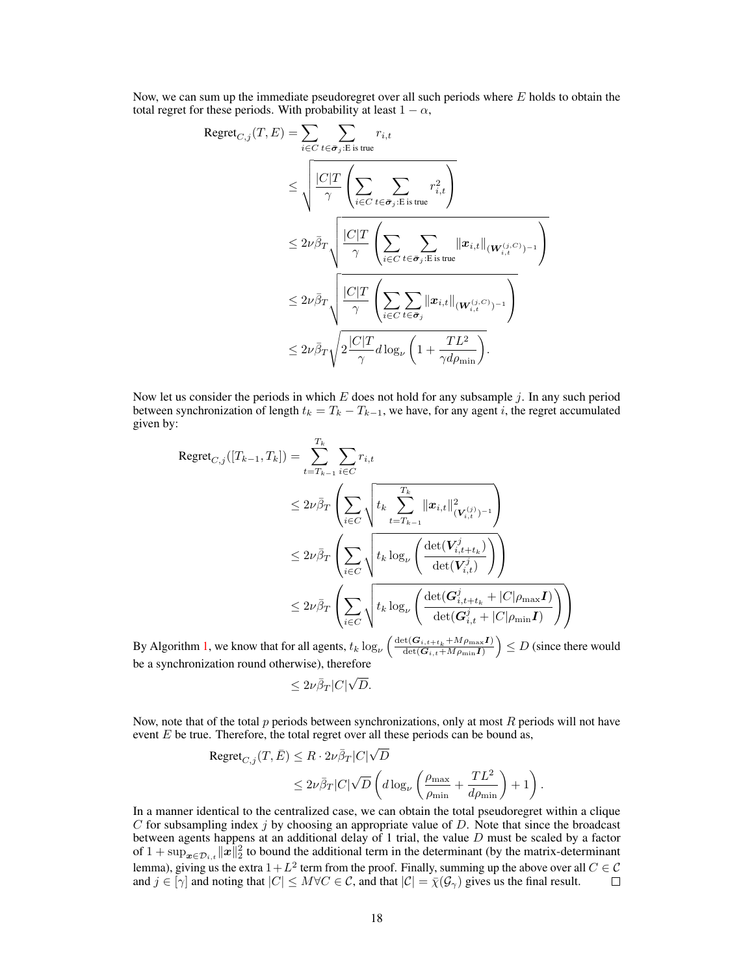Now, we can sum up the immediate pseudoregret over all such periods where  $E$  holds to obtain the total regret for these periods. With probability at least  $1 - \alpha$ ,

$$
\begin{split} \text{Regret}_{C,j}(T,E) &= \sum_{i \in C} \sum_{t \in \bar{\sigma}_j: E \text{ is true}} r_{i,t} \\ &\leq \sqrt{\frac{|C|T}{\gamma} \left(\sum_{i \in C} \sum_{t \in \bar{\sigma}_j: E \text{ is true}} r_{i,t}^2\right)} \\ &\leq 2\nu \bar{\beta}_T \sqrt{\frac{|C|T}{\gamma} \left(\sum_{i \in C} \sum_{t \in \bar{\sigma}_j: E \text{ is true}} ||x_{i,t}||_{(\mathbf{W}_{i,t}^{(j,C)})^{-1}}\right)} \\ &\leq 2\nu \bar{\beta}_T \sqrt{\frac{|C|T}{\gamma} \left(\sum_{i \in C} \sum_{t \in \bar{\sigma}_j} ||x_{i,t}||_{(\mathbf{W}_{i,t}^{(j,C)})^{-1}}\right)} \\ &\leq 2\nu \bar{\beta}_T \sqrt{2\frac{|C|T}{\gamma} d \log_{\nu} \left(1 + \frac{TL^2}{\gamma d \rho_{\min}}\right)}. \end{split}
$$

Now let us consider the periods in which  $E$  does not hold for any subsample  $j$ . In any such period between synchronization of length  $t_k = T_k - T_{k-1}$ , we have, for any agent i, the regret accumulated given by:

$$
\begin{split} \text{Regret}_{C,j}([T_{k-1},T_k]) &= \sum_{t=T_{k-1}}^{T_k} \sum_{i \in C} r_{i,t} \\ &\leq 2\nu \bar{\beta}_T \left( \sum_{i \in C} \sqrt{\frac{t_k \sum_{t=T_{k-1}}^{T_k} \|x_{i,t}\|_{(V_{i,t}^{(j)})^{-1}}^2}{\det(V_{i,t}^j)^{-1}}} \right) \\ &\leq 2\nu \bar{\beta}_T \left( \sum_{i \in C} \sqrt{\frac{t_k \log_{\nu} \left( \frac{\det(V_{i,t+t_k}^j)}{\det(V_{i,t}^j)} \right)}{\det(V_{i,t}^j)}} \right) \\ &\leq 2\nu \bar{\beta}_T \left( \sum_{i \in C} \sqrt{\frac{t_k \log_{\nu} \left( \frac{\det(G_{i,t+t_k}^j + |C|\rho_{\max} \mathbf{I})}{\det(G_{i,t}^j + |C|\rho_{\min} \mathbf{I})} \right)}} \right) \end{split}
$$

By Algorithm [1,](#page-3-0) we know that for all agents,  $t_k \log_{\nu} \left( \frac{\det(G_{i,t+t_k} + Mp_{\max}I)}{\det(G_{i,t} + Mp_{\min}I)} \right) \le D$  (since there would be a synchronization round otherwise), therefore √

$$
\leq 2\nu\beta_T|C|\sqrt{D}.
$$

Now, note that of the total  $p$  periods between synchronizations, only at most  $R$  periods will not have event  $E$  be true. Therefore, the total regret over all these periods can be bound as,

$$
\begin{aligned} \text{Regret}_{C,j}(T,\bar{E}) &\leq R \cdot 2\nu \bar{\beta}_T |C| \sqrt{D} \\ &\leq 2\nu \bar{\beta}_T |C| \sqrt{D} \left( d \log_{\nu} \left( \frac{\rho_{\max}}{\rho_{\min}} + \frac{TL^2}{d\rho_{\min}} \right) + 1 \right). \end{aligned}
$$

In a manner identical to the centralized case, we can obtain the total pseudoregret within a clique  $C$  for subsampling index  $j$  by choosing an appropriate value of  $D$ . Note that since the broadcast between agents happens at an additional delay of 1 trial, the value D must be scaled by a factor of  $1 + \sup_{x \in \mathcal{D}_{i,t}} ||x||_2^2$  to bound the additional term in the determinant (by the matrix-determinant lemma), giving us the extra  $1 + L^2$  term from the proof. Finally, summing up the above over all  $C \in \mathcal{C}$ and  $j \in [\gamma]$  and noting that  $|C| \leq M \forall C \in \mathcal{C}$ , and that  $|\mathcal{C}| = \bar{\chi}(\mathcal{G}_{\gamma})$  gives us the final result.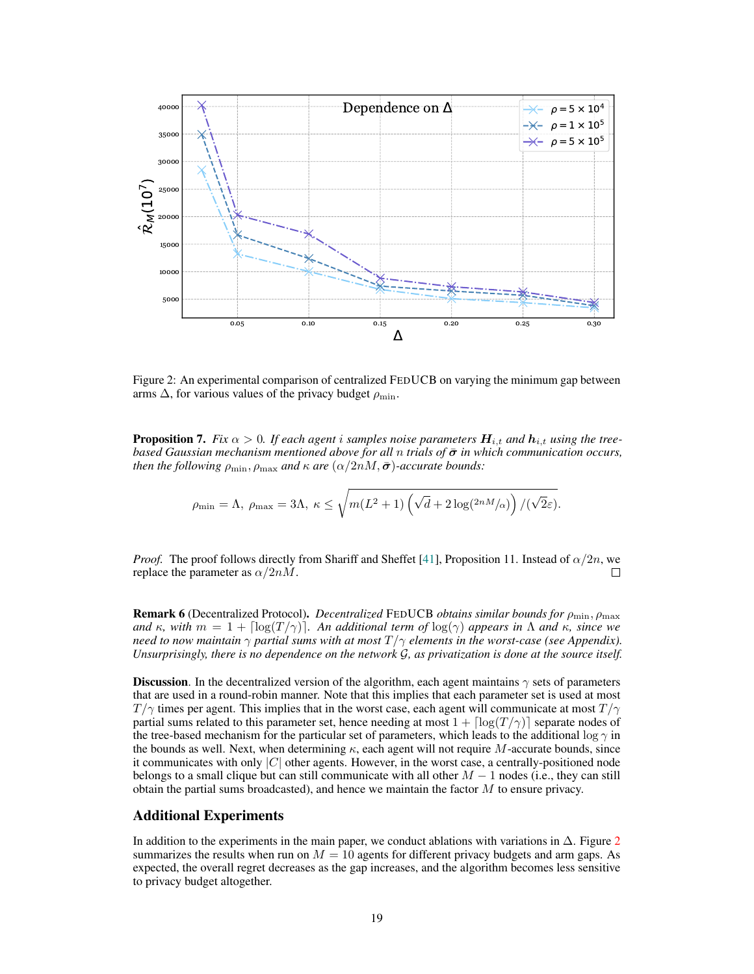

<span id="page-18-0"></span>Figure 2: An experimental comparison of centralized FEDUCB on varying the minimum gap between arms  $\Delta$ , for various values of the privacy budget  $\rho_{\min}$ .

**Proposition 7.** *Fix*  $\alpha > 0$ . *If each agent i samples noise parameters*  $H_{i,t}$  *and*  $h_{i,t}$  *using the treebased Gaussian mechanism mentioned above for all n trials of*  $\bar{\sigma}$  *in which communication occurs, then the following*  $\rho_{\min}$ ,  $\rho_{\max}$  *and*  $\kappa$  *are*  $(\alpha/2nM, \bar{\sigma})$ *-accurate bounds:* 

$$
\rho_{\min} = \Lambda, \ \rho_{\max} = 3\Lambda, \ \kappa \le \sqrt{m(L^2+1)\left(\sqrt{d} + 2\log(2nM/\alpha)\right)/(\sqrt{2}\varepsilon)}.
$$

*Proof.* The proof follows directly from Shariff and Sheffet [\[41\]](#page-20-7), Proposition 11. Instead of  $\alpha/2n$ , we replace the parameter as  $\alpha/2nM$ . П

Remark 6 (Decentralized Protocol). *Decentralized* FEDUCB *obtains similar bounds for* ρmin, ρmax *and*  $\kappa$ , with  $m = 1 + \lceil \log(T / \gamma) \rceil$ . An additional term of  $\log(\gamma)$  appears in  $\Lambda$  and  $\kappa$ , since we *need to now maintain* γ *partial sums with at most* T /γ *elements in the worst-case (see Appendix). Unsurprisingly, there is no dependence on the network* G*, as privatization is done at the source itself.*

**Discussion.** In the decentralized version of the algorithm, each agent maintains  $\gamma$  sets of parameters that are used in a round-robin manner. Note that this implies that each parameter set is used at most  $T/\gamma$  times per agent. This implies that in the worst case, each agent will communicate at most  $T/\gamma$ partial sums related to this parameter set, hence needing at most  $1 + \lceil \log(T / \gamma) \rceil$  separate nodes of the tree-based mechanism for the particular set of parameters, which leads to the additional log  $\gamma$  in the bounds as well. Next, when determining  $\kappa$ , each agent will not require M-accurate bounds, since it communicates with only  $|C|$  other agents. However, in the worst case, a centrally-positioned node belongs to a small clique but can still communicate with all other  $M - 1$  nodes (i.e., they can still obtain the partial sums broadcasted), and hence we maintain the factor  $M$  to ensure privacy.

## Additional Experiments

In addition to the experiments in the main paper, we conduct ablations with variations in  $\Delta$ . Figure [2](#page-18-0) summarizes the results when run on  $M = 10$  agents for different privacy budgets and arm gaps. As expected, the overall regret decreases as the gap increases, and the algorithm becomes less sensitive to privacy budget altogether.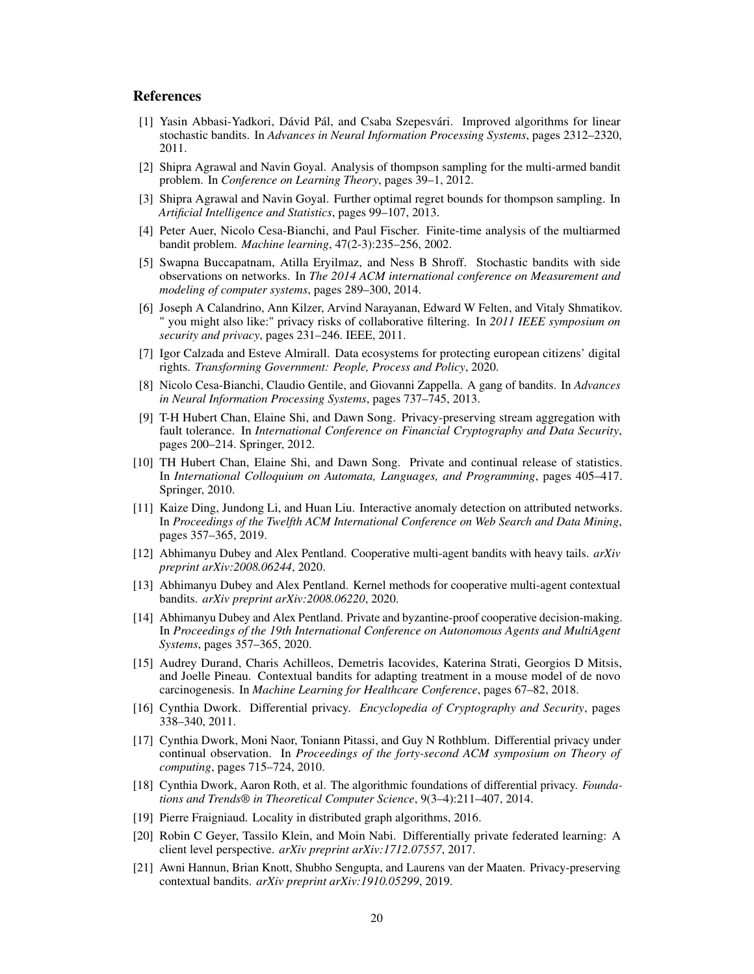## References

- <span id="page-19-8"></span>[1] Yasin Abbasi-Yadkori, Dávid Pál, and Csaba Szepesvári. Improved algorithms for linear stochastic bandits. In *Advances in Neural Information Processing Systems*, pages 2312–2320, 2011.
- <span id="page-19-18"></span>[2] Shipra Agrawal and Navin Goyal. Analysis of thompson sampling for the multi-armed bandit problem. In *Conference on Learning Theory*, pages 39–1, 2012.
- <span id="page-19-17"></span>[3] Shipra Agrawal and Navin Goyal. Further optimal regret bounds for thompson sampling. In *Artificial Intelligence and Statistics*, pages 99–107, 2013.
- <span id="page-19-16"></span>[4] Peter Auer, Nicolo Cesa-Bianchi, and Paul Fischer. Finite-time analysis of the multiarmed bandit problem. *Machine learning*, 47(2-3):235–256, 2002.
- <span id="page-19-7"></span>[5] Swapna Buccapatnam, Atilla Eryilmaz, and Ness B Shroff. Stochastic bandits with side observations on networks. In *The 2014 ACM international conference on Measurement and modeling of computer systems*, pages 289–300, 2014.
- <span id="page-19-13"></span>[6] Joseph A Calandrino, Ann Kilzer, Arvind Narayanan, Edward W Felten, and Vitaly Shmatikov. " you might also like:" privacy risks of collaborative filtering. In *2011 IEEE symposium on security and privacy*, pages 231–246. IEEE, 2011.
- <span id="page-19-20"></span>[7] Igor Calzada and Esteve Almirall. Data ecosystems for protecting european citizens' digital rights. *Transforming Government: People, Process and Policy*, 2020.
- <span id="page-19-6"></span>[8] Nicolo Cesa-Bianchi, Claudio Gentile, and Giovanni Zappella. A gang of bandits. In *Advances in Neural Information Processing Systems*, pages 737–745, 2013.
- <span id="page-19-14"></span>[9] T-H Hubert Chan, Elaine Shi, and Dawn Song. Privacy-preserving stream aggregation with fault tolerance. In *International Conference on Financial Cryptography and Data Security*, pages 200–214. Springer, 2012.
- <span id="page-19-11"></span>[10] TH Hubert Chan, Elaine Shi, and Dawn Song. Private and continual release of statistics. In *International Colloquium on Automata, Languages, and Programming*, pages 405–417. Springer, 2010.
- <span id="page-19-0"></span>[11] Kaize Ding, Jundong Li, and Huan Liu. Interactive anomaly detection on attributed networks. In *Proceedings of the Twelfth ACM International Conference on Web Search and Data Mining*, pages 357–365, 2019.
- <span id="page-19-5"></span>[12] Abhimanyu Dubey and Alex Pentland. Cooperative multi-agent bandits with heavy tails. *arXiv preprint arXiv:2008.06244*, 2020.
- <span id="page-19-4"></span>[13] Abhimanyu Dubey and Alex Pentland. Kernel methods for cooperative multi-agent contextual bandits. *arXiv preprint arXiv:2008.06220*, 2020.
- <span id="page-19-2"></span>[14] Abhimanyu Dubey and Alex Pentland. Private and byzantine-proof cooperative decision-making. In *Proceedings of the 19th International Conference on Autonomous Agents and MultiAgent Systems*, pages 357–365, 2020.
- <span id="page-19-1"></span>[15] Audrey Durand, Charis Achilleos, Demetris Iacovides, Katerina Strati, Georgios D Mitsis, and Joelle Pineau. Contextual bandits for adapting treatment in a mouse model of de novo carcinogenesis. In *Machine Learning for Healthcare Conference*, pages 67–82, 2018.
- <span id="page-19-9"></span>[16] Cynthia Dwork. Differential privacy. *Encyclopedia of Cryptography and Security*, pages 338–340, 2011.
- <span id="page-19-12"></span>[17] Cynthia Dwork, Moni Naor, Toniann Pitassi, and Guy N Rothblum. Differential privacy under continual observation. In *Proceedings of the forty-second ACM symposium on Theory of computing*, pages 715–724, 2010.
- <span id="page-19-10"></span>[18] Cynthia Dwork, Aaron Roth, et al. The algorithmic foundations of differential privacy. *Foundations and Trends® in Theoretical Computer Science*, 9(3–4):211–407, 2014.
- <span id="page-19-19"></span>[19] Pierre Fraigniaud. Locality in distributed graph algorithms, 2016.
- <span id="page-19-3"></span>[20] Robin C Geyer, Tassilo Klein, and Moin Nabi. Differentially private federated learning: A client level perspective. *arXiv preprint arXiv:1712.07557*, 2017.
- <span id="page-19-15"></span>[21] Awni Hannun, Brian Knott, Shubho Sengupta, and Laurens van der Maaten. Privacy-preserving contextual bandits. *arXiv preprint arXiv:1910.05299*, 2019.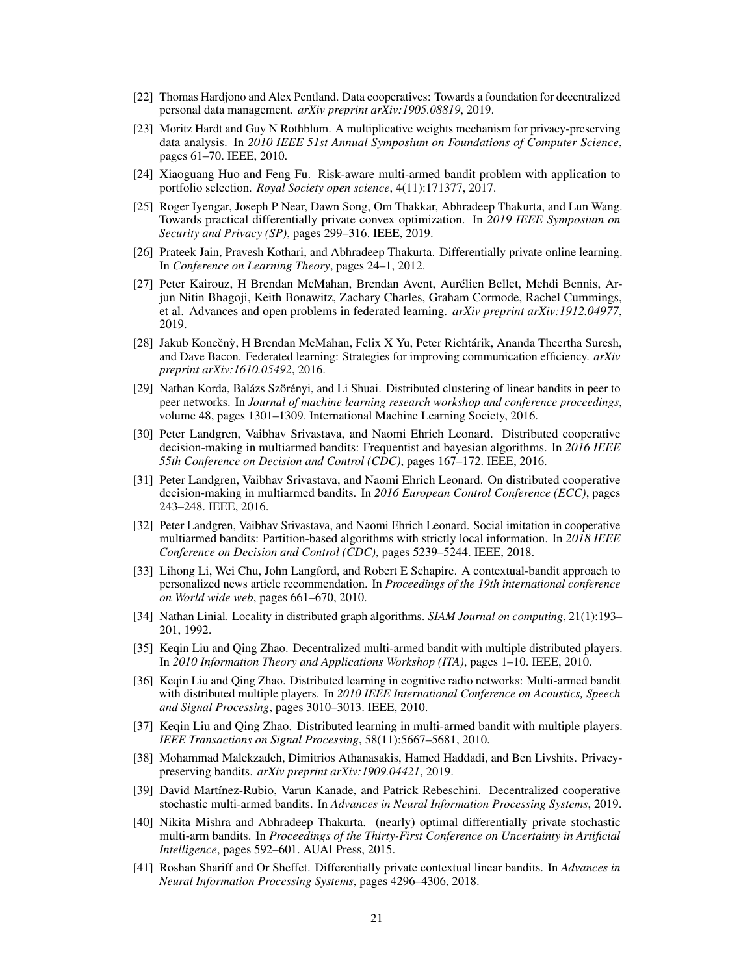- <span id="page-20-1"></span>[22] Thomas Hardjono and Alex Pentland. Data cooperatives: Towards a foundation for decentralized personal data management. *arXiv preprint arXiv:1905.08819*, 2019.
- <span id="page-20-17"></span>[23] Moritz Hardt and Guy N Rothblum. A multiplicative weights mechanism for privacy-preserving data analysis. In *2010 IEEE 51st Annual Symposium on Foundations of Computer Science*, pages 61–70. IEEE, 2010.
- <span id="page-20-0"></span>[24] Xiaoguang Huo and Feng Fu. Risk-aware multi-armed bandit problem with application to portfolio selection. *Royal Society open science*, 4(11):171377, 2017.
- <span id="page-20-16"></span>[25] Roger Iyengar, Joseph P Near, Dawn Song, Om Thakkar, Abhradeep Thakurta, and Lun Wang. Towards practical differentially private convex optimization. In *2019 IEEE Symposium on Security and Privacy (SP)*, pages 299–316. IEEE, 2019.
- <span id="page-20-15"></span>[26] Prateek Jain, Pravesh Kothari, and Abhradeep Thakurta. Differentially private online learning. In *Conference on Learning Theory*, pages 24–1, 2012.
- <span id="page-20-2"></span>[27] Peter Kairouz, H Brendan McMahan, Brendan Avent, Aurélien Bellet, Mehdi Bennis, Arjun Nitin Bhagoji, Keith Bonawitz, Zachary Charles, Graham Cormode, Rachel Cummings, et al. Advances and open problems in federated learning. *arXiv preprint arXiv:1912.04977*, 2019.
- <span id="page-20-3"></span>[28] Jakub Konečnỳ, H Brendan McMahan, Felix X Yu, Peter Richtárik, Ananda Theertha Suresh, and Dave Bacon. Federated learning: Strategies for improving communication efficiency. *arXiv preprint arXiv:1610.05492*, 2016.
- <span id="page-20-13"></span>[29] Nathan Korda, Balázs Szörényi, and Li Shuai. Distributed clustering of linear bandits in peer to peer networks. In *Journal of machine learning research workshop and conference proceedings*, volume 48, pages 1301–1309. International Machine Learning Society, 2016.
- <span id="page-20-8"></span>[30] Peter Landgren, Vaibhav Srivastava, and Naomi Ehrich Leonard. Distributed cooperative decision-making in multiarmed bandits: Frequentist and bayesian algorithms. In *2016 IEEE 55th Conference on Decision and Control (CDC)*, pages 167–172. IEEE, 2016.
- <span id="page-20-5"></span>[31] Peter Landgren, Vaibhav Srivastava, and Naomi Ehrich Leonard. On distributed cooperative decision-making in multiarmed bandits. In *2016 European Control Conference (ECC)*, pages 243–248. IEEE, 2016.
- <span id="page-20-9"></span>[32] Peter Landgren, Vaibhav Srivastava, and Naomi Ehrich Leonard. Social imitation in cooperative multiarmed bandits: Partition-based algorithms with strictly local information. In *2018 IEEE Conference on Decision and Control (CDC)*, pages 5239–5244. IEEE, 2018.
- <span id="page-20-14"></span>[33] Lihong Li, Wei Chu, John Langford, and Robert E Schapire. A contextual-bandit approach to personalized news article recommendation. In *Proceedings of the 19th international conference on World wide web*, pages 661–670, 2010.
- <span id="page-20-19"></span>[34] Nathan Linial. Locality in distributed graph algorithms. *SIAM Journal on computing*, 21(1):193– 201, 1992.
- <span id="page-20-10"></span>[35] Keqin Liu and Qing Zhao. Decentralized multi-armed bandit with multiple distributed players. In *2010 Information Theory and Applications Workshop (ITA)*, pages 1–10. IEEE, 2010.
- <span id="page-20-12"></span>[36] Keqin Liu and Qing Zhao. Distributed learning in cognitive radio networks: Multi-armed bandit with distributed multiple players. In *2010 IEEE International Conference on Acoustics, Speech and Signal Processing*, pages 3010–3013. IEEE, 2010.
- <span id="page-20-11"></span>[37] Keqin Liu and Qing Zhao. Distributed learning in multi-armed bandit with multiple players. *IEEE Transactions on Signal Processing*, 58(11):5667–5681, 2010.
- <span id="page-20-4"></span>[38] Mohammad Malekzadeh, Dimitrios Athanasakis, Hamed Haddadi, and Ben Livshits. Privacypreserving bandits. *arXiv preprint arXiv:1909.04421*, 2019.
- <span id="page-20-6"></span>[39] David Martínez-Rubio, Varun Kanade, and Patrick Rebeschini. Decentralized cooperative stochastic multi-armed bandits. In *Advances in Neural Information Processing Systems*, 2019.
- <span id="page-20-18"></span>[40] Nikita Mishra and Abhradeep Thakurta. (nearly) optimal differentially private stochastic multi-arm bandits. In *Proceedings of the Thirty-First Conference on Uncertainty in Artificial Intelligence*, pages 592–601. AUAI Press, 2015.
- <span id="page-20-7"></span>[41] Roshan Shariff and Or Sheffet. Differentially private contextual linear bandits. In *Advances in Neural Information Processing Systems*, pages 4296–4306, 2018.